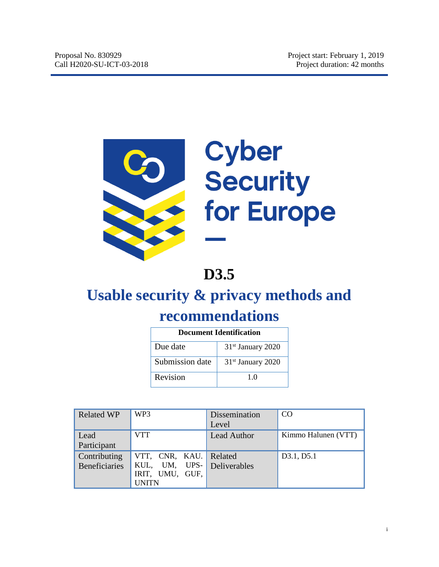

# Cyber<br>Security for Europe

# **D3.5**

# **Usable security & privacy methods and recommendations**

|                 | Document Identification       |
|-----------------|-------------------------------|
| Due date        | $31st$ January 2020           |
| Submission date | 31 <sup>st</sup> January 2020 |
| Revision        | 10                            |

| <b>Related WP</b>    | WP3                 | Dissemination<br>Level | CO                  |
|----------------------|---------------------|------------------------|---------------------|
|                      |                     |                        |                     |
| Lead                 | VTT                 | <b>Lead Author</b>     | Kimmo Halunen (VTT) |
| Participant          |                     |                        |                     |
| Contributing         | VTT, CNR, KAU.      | Related                | D3.1, D5.1          |
| <b>Beneficiaries</b> | UPS-<br>KUL,<br>UM, | Deliverables           |                     |
|                      | IRIT, UMU, GUF,     |                        |                     |
|                      | UNITN               |                        |                     |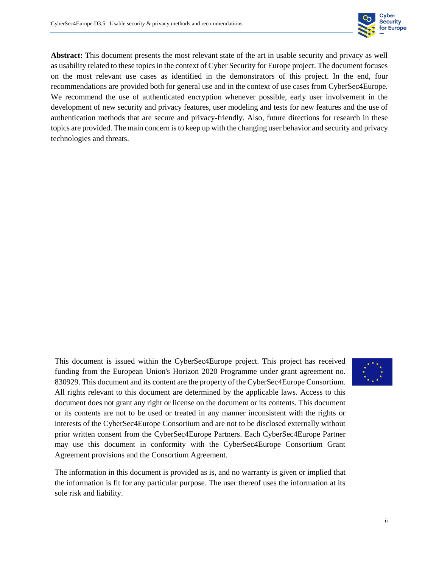

**Abstract:** This document presents the most relevant state of the art in usable security and privacy as well as usability related to these topics in the context of Cyber Security for Europe project. The document focuses on the most relevant use cases as identified in the demonstrators of this project. In the end, four recommendations are provided both for general use and in the context of use cases from CyberSec4Europe. We recommend the use of authenticated encryption whenever possible, early user involvement in the development of new security and privacy features, user modeling and tests for new features and the use of authentication methods that are secure and privacy-friendly. Also, future directions for research in these topics are provided. The main concern is to keep up with the changing user behavior and security and privacy technologies and threats.

This document is issued within the CyberSec4Europe project. This project has received funding from the European Union's Horizon 2020 Programme under grant agreement no. 830929. This document and its content are the property of the CyberSec4Europe Consortium. All rights relevant to this document are determined by the applicable laws. Access to this document does not grant any right or license on the document or its contents. This document or its contents are not to be used or treated in any manner inconsistent with the rights or interests of the CyberSec4Europe Consortium and are not to be disclosed externally without prior written consent from the CyberSec4Europe Partners. Each CyberSec4Europe Partner may use this document in conformity with the CyberSec4Europe Consortium Grant Agreement provisions and the Consortium Agreement.



The information in this document is provided as is, and no warranty is given or implied that the information is fit for any particular purpose. The user thereof uses the information at its sole risk and liability.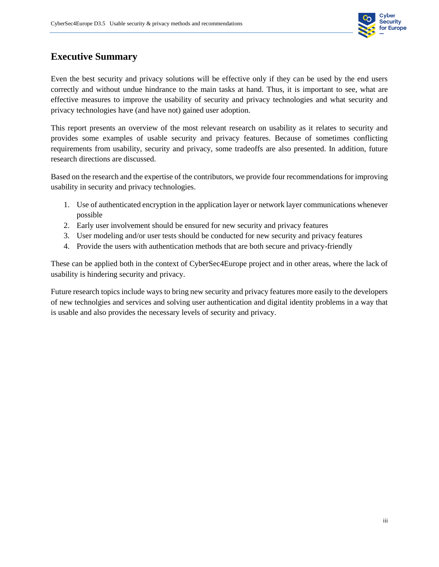

#### **Executive Summary**

Even the best security and privacy solutions will be effective only if they can be used by the end users correctly and without undue hindrance to the main tasks at hand. Thus, it is important to see, what are effective measures to improve the usability of security and privacy technologies and what security and privacy technologies have (and have not) gained user adoption.

This report presents an overview of the most relevant research on usability as it relates to security and provides some examples of usable security and privacy features. Because of sometimes conflicting requirements from usability, security and privacy, some tradeoffs are also presented. In addition, future research directions are discussed.

Based on the research and the expertise of the contributors, we provide four recommendations for improving usability in security and privacy technologies.

- 1. Use of authenticated encryption in the application layer or network layer communications whenever possible
- 2. Early user involvement should be ensured for new security and privacy features
- 3. User modeling and/or user tests should be conducted for new security and privacy features
- 4. Provide the users with authentication methods that are both secure and privacy-friendly

These can be applied both in the context of CyberSec4Europe project and in other areas, where the lack of usability is hindering security and privacy.

Future research topics include ways to bring new security and privacy features more easily to the developers of new technolgies and services and solving user authentication and digital identity problems in a way that is usable and also provides the necessary levels of security and privacy.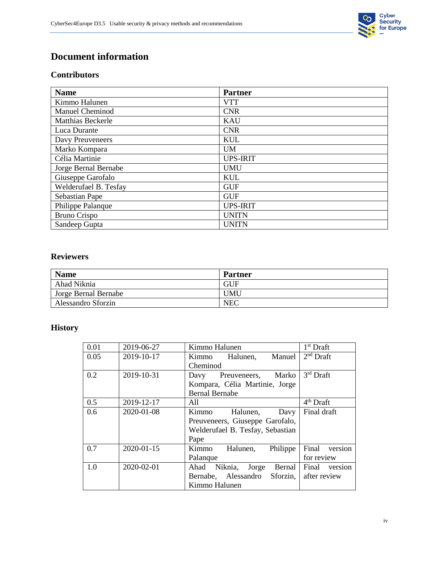

#### **Document information**

#### **Contributors**

| <b>Name</b>              | <b>Partner</b>  |
|--------------------------|-----------------|
| Kimmo Halunen            | <b>VTT</b>      |
| Manuel Cheminod          | <b>CNR</b>      |
| <b>Matthias Beckerle</b> | <b>KAU</b>      |
| Luca Durante             | <b>CNR</b>      |
| Davy Preuveneers         | KUL             |
| Marko Kompara            | <b>UM</b>       |
| Célia Martinie           | <b>UPS-IRIT</b> |
| Jorge Bernal Bernabe     | <b>UMU</b>      |
| Giuseppe Garofalo        | KUL             |
| Welderufael B. Tesfay    | <b>GUF</b>      |
| Sebastian Pape           | <b>GUF</b>      |
| Philippe Palanque        | <b>UPS-IRIT</b> |
| <b>Bruno Crispo</b>      | <b>UNITN</b>    |
| Sandeep Gupta            | <b>UNITN</b>    |

#### **Reviewers**

| <b>Name</b>          | <b>Partner</b> |
|----------------------|----------------|
| Ahad Niknia          | GUF            |
| Jorge Bernal Bernabe | <b>UMU</b>     |
| Alessandro Sforzin   | <b>NEC</b>     |

#### **History**

| 0.01 | 2019-06-27 | Kimmo Halunen                    | $1st$ Draft           |
|------|------------|----------------------------------|-----------------------|
| 0.05 | 2019-10-17 | Kimmo Halunen,<br>Manuel         | $2nd$ Draft           |
|      |            | Cheminod                         |                       |
| 0.2  | 2019-10-31 | Marko<br>Preuveneers,<br>Davy    | $3rd$ Draft           |
|      |            | Kompara, Célia Martinie, Jorge   |                       |
|      |            | <b>Bernal Bernabe</b>            |                       |
| 0.5  | 2019-12-17 | All                              | 4 <sup>th</sup> Draft |
| 0.6  | 2020-01-08 | Halunen,<br>Kimmo<br>Davy        | Final draft           |
|      |            | Preuveneers, Giuseppe Garofalo,  |                       |
|      |            | Welderufael B. Tesfay, Sebastian |                       |
|      |            | Pape                             |                       |
| 0.7  | 2020-01-15 | Kimmo<br>Philippe<br>Halunen,    | Final version         |
|      |            | Palanque                         | for review            |
| 1.0  | 2020-02-01 | Ahad Niknia,<br>Bernal<br>Jorge  | version<br>Final      |
|      |            | Bernabe, Alessandro Sforzin,     | after review          |
|      |            | Kimmo Halunen                    |                       |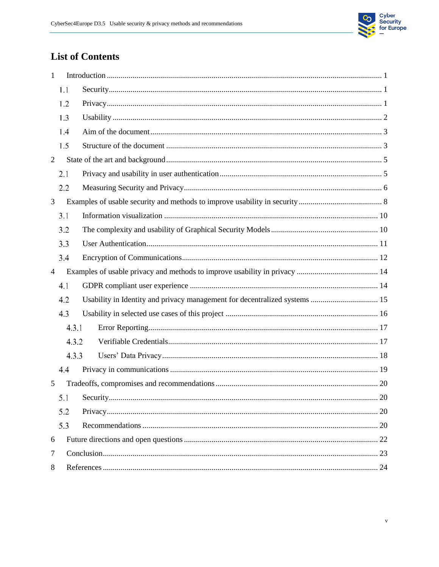

### **List of Contents**

| 1              |       |                                                                            |  |  |  |
|----------------|-------|----------------------------------------------------------------------------|--|--|--|
|                | 1.1   |                                                                            |  |  |  |
|                | 1.2   |                                                                            |  |  |  |
|                | 1.3   |                                                                            |  |  |  |
|                | 1.4   |                                                                            |  |  |  |
|                | 1.5   |                                                                            |  |  |  |
| $\overline{2}$ |       |                                                                            |  |  |  |
|                | 2.1   |                                                                            |  |  |  |
|                | 2.2   |                                                                            |  |  |  |
| 3              |       |                                                                            |  |  |  |
|                | 3.1   |                                                                            |  |  |  |
|                | 3.2   |                                                                            |  |  |  |
|                | 3.3   |                                                                            |  |  |  |
|                | 3.4   |                                                                            |  |  |  |
| $\overline{4}$ |       |                                                                            |  |  |  |
|                | 4.1   |                                                                            |  |  |  |
|                | 4.2   | Usability in Identity and privacy management for decentralized systems  15 |  |  |  |
|                | 4.3   |                                                                            |  |  |  |
|                | 4.3.1 |                                                                            |  |  |  |
|                | 4.3.2 |                                                                            |  |  |  |
|                | 4.3.3 |                                                                            |  |  |  |
|                | 4,4   |                                                                            |  |  |  |
| 5              |       |                                                                            |  |  |  |
|                | 5.1   |                                                                            |  |  |  |
|                | 5.2   |                                                                            |  |  |  |
|                | 5.3   |                                                                            |  |  |  |
| 6              |       |                                                                            |  |  |  |
| $\overline{7}$ |       |                                                                            |  |  |  |
| 8              |       |                                                                            |  |  |  |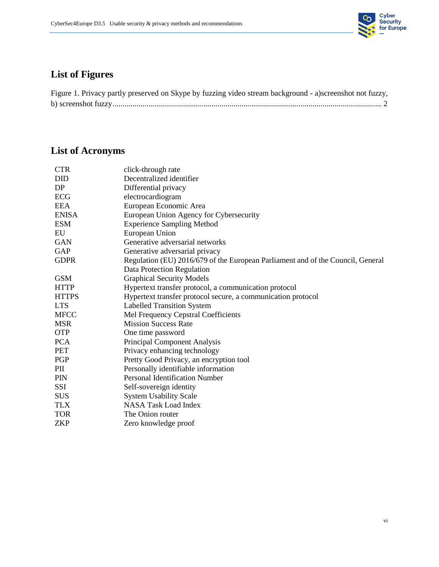

### **List of Figures**

| Figure 1. Privacy partly preserved on Skype by fuzzing video stream background - a)screenshot not fuzzy, |  |  |  |
|----------------------------------------------------------------------------------------------------------|--|--|--|
|                                                                                                          |  |  |  |

# **List of Acronyms**

| <b>CTR</b>   | click-through rate                                                              |
|--------------|---------------------------------------------------------------------------------|
| <b>DID</b>   | Decentralized identifier                                                        |
| DP           | Differential privacy                                                            |
| ECG          | electrocardiogram                                                               |
| <b>EEA</b>   | European Economic Area                                                          |
| <b>ENISA</b> | European Union Agency for Cybersecurity                                         |
| <b>ESM</b>   | <b>Experience Sampling Method</b>                                               |
| EU           | European Union                                                                  |
| <b>GAN</b>   | Generative adversarial networks                                                 |
| GAP          | Generative adversarial privacy                                                  |
| <b>GDPR</b>  | Regulation (EU) 2016/679 of the European Parliament and of the Council, General |
|              | Data Protection Regulation                                                      |
| <b>GSM</b>   | <b>Graphical Security Models</b>                                                |
| <b>HTTP</b>  | Hypertext transfer protocol, a communication protocol                           |
| <b>HTTPS</b> | Hypertext transfer protocol secure, a communication protocol                    |
| <b>LTS</b>   | <b>Labelled Transition System</b>                                               |
| <b>MFCC</b>  | Mel Frequency Cepstral Coefficients                                             |
| <b>MSR</b>   | <b>Mission Success Rate</b>                                                     |
| <b>OTP</b>   | One time password                                                               |
| <b>PCA</b>   | Principal Component Analysis                                                    |
| <b>PET</b>   | Privacy enhancing technology                                                    |
| PGP          | Pretty Good Privacy, an encryption tool                                         |
| PII          | Personally identifiable information                                             |
| PIN          | <b>Personal Identification Number</b>                                           |
| SSI          | Self-sovereign identity                                                         |
| <b>SUS</b>   | <b>System Usability Scale</b>                                                   |
| <b>TLX</b>   | <b>NASA Task Load Index</b>                                                     |
| <b>TOR</b>   | The Onion router                                                                |
| <b>ZKP</b>   | Zero knowledge proof                                                            |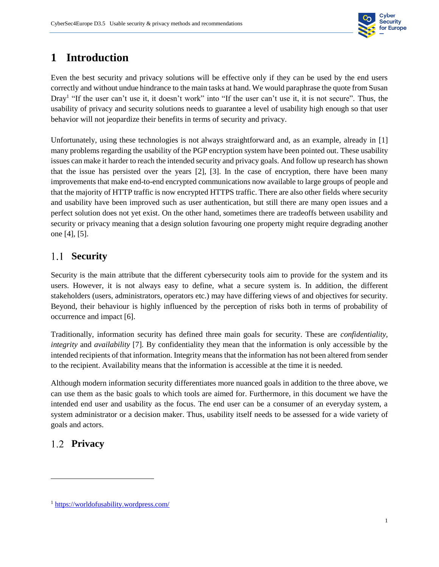

#### <span id="page-6-0"></span>**1 Introduction**

Even the best security and privacy solutions will be effective only if they can be used by the end users correctly and without undue hindrance to the main tasks at hand. We would paraphrase the quote from Susan Dray<sup>1</sup> "If the user can't use it, it doesn't work" into "If the user can't use it, it is not secure". Thus, the usability of privacy and security solutions needs to guarantee a level of usability high enough so that user behavior will not jeopardize their benefits in terms of security and privacy.

Unfortunately, using these technologies is not always straightforward and, as an example, already in [1] many problems regarding the usability of the PGP encryption system have been pointed out. These usability issues can make it harder to reach the intended security and privacy goals. And follow up research has shown that the issue has persisted over the years [2], [3]. In the case of encryption, there have been many improvements that make end-to-end encrypted communications now available to large groups of people and that the majority of HTTP traffic is now encrypted HTTPS traffic. There are also other fields where security and usability have been improved such as user authentication, but still there are many open issues and a perfect solution does not yet exist. On the other hand, sometimes there are tradeoffs between usability and security or privacy meaning that a design solution favouring one property might require degrading another one [4], [5].

#### <span id="page-6-1"></span>1.1 **Security**

Security is the main attribute that the different cybersecurity tools aim to provide for the system and its users. However, it is not always easy to define, what a secure system is. In addition, the different stakeholders (users, administrators, operators etc.) may have differing views of and objectives for security. Beyond, their behaviour is highly influenced by the perception of risks both in terms of probability of occurrence and impact [6].

Traditionally, information security has defined three main goals for security. These are *confidentiality, integrity* and *availability* [7]*.* By confidentiality they mean that the information is only accessible by the intended recipients of that information. Integrity means that the information has not been altered from sender to the recipient. Availability means that the information is accessible at the time it is needed.

Although modern information security differentiates more nuanced goals in addition to the three above, we can use them as the basic goals to which tools are aimed for. Furthermore, in this document we have the intended end user and usability as the focus. The end user can be a consumer of an everyday system, a system administrator or a decision maker. Thus, usability itself needs to be assessed for a wide variety of goals and actors.

#### <span id="page-6-2"></span>**Privacy**

 $\overline{\phantom{a}}$ 

<sup>1</sup> <https://worldofusability.wordpress.com/>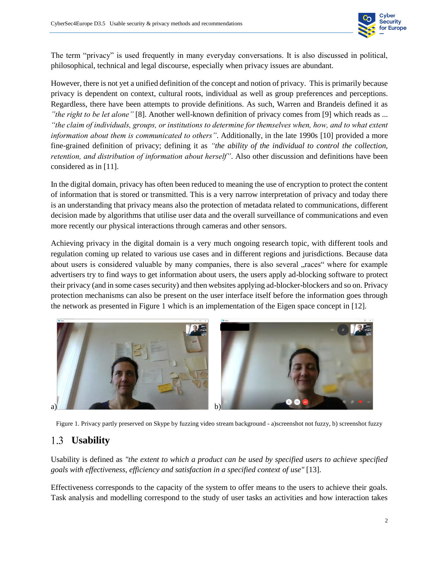

The term "privacy" is used frequently in many everyday conversations. It is also discussed in political, philosophical, technical and legal discourse, especially when privacy issues are abundant.

However, there is not yet a unified definition of the concept and notion of privacy. This is primarily because privacy is dependent on context, cultural roots, individual as well as group preferences and perceptions. Regardless, there have been attempts to provide definitions. As such, Warren and Brandeis defined it as *"the right to be let alone"* [8]. Another well-known definition of privacy comes from [9] which reads as ... *"the claim of individuals, groups, or institutions to determine for themselves when, how, and to what extent information about them is communicated to others"*. Additionally, in the late 1990s [10] provided a more fine-grained definition of privacy; defining it as *"the ability of the individual to control the collection, retention, and distribution of information about herself"*. Also other discussion and definitions have been considered as in [11].

In the digital domain, privacy has often been reduced to meaning the use of encryption to protect the content of information that is stored or transmitted. This is a very narrow interpretation of privacy and today there is an understanding that privacy means also the protection of metadata related to communications, different decision made by algorithms that utilise user data and the overall surveillance of communications and even more recently our physical interactions through cameras and other sensors.

Achieving privacy in the digital domain is a very much ongoing research topic, with different tools and regulation coming up related to various use cases and in different regions and jurisdictions. Because data about users is considered valuable by many companies, there is also several "races" where for example advertisers try to find ways to get information about users, the users apply ad-blocking software to protect their privacy (and in some cases security) and then websites applying ad-blocker-blockers and so on. Privacy protection mechanisms can also be present on the user interface itself before the information goes through the network as presented in [Figure 1](#page-7-1) which is an implementation of the Eigen space concept in [12].



<span id="page-7-1"></span>

#### <span id="page-7-0"></span>**Usability**

Usability is defined as *"the extent to which a product can be used by specified users to achieve specified goals with effectiveness, efficiency and satisfaction in a specified context of use"* [13].

Effectiveness corresponds to the capacity of the system to offer means to the users to achieve their goals. Task analysis and modelling correspond to the study of user tasks an activities and how interaction takes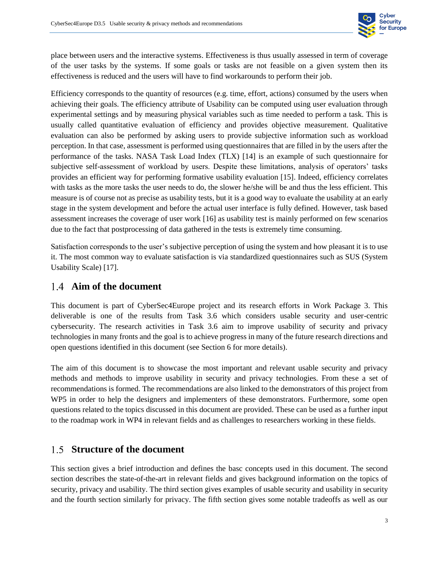

place between users and the interactive systems. Effectiveness is thus usually assessed in term of coverage of the user tasks by the systems. If some goals or tasks are not feasible on a given system then its effectiveness is reduced and the users will have to find workarounds to perform their job.

Efficiency corresponds to the quantity of resources (e.g. time, effort, actions) consumed by the users when achieving their goals. The efficiency attribute of Usability can be computed using user evaluation through experimental settings and by measuring physical variables such as time needed to perform a task. This is usually called quantitative evaluation of efficiency and provides objective measurement. Qualitative evaluation can also be performed by asking users to provide subjective information such as workload perception. In that case, assessment is performed using questionnaires that are filled in by the users after the performance of the tasks. NASA Task Load Index (TLX) [14] is an example of such questionnaire for subjective self-assessment of workload by users. Despite these limitations, analysis of operators' tasks provides an efficient way for performing formative usability evaluation [15]. Indeed, efficiency correlates with tasks as the more tasks the user needs to do, the slower he/she will be and thus the less efficient. This measure is of course not as precise as usability tests, but it is a good way to evaluate the usability at an early stage in the system development and before the actual user interface is fully defined. However, task based assessment increases the coverage of user work [16] as usability test is mainly performed on few scenarios due to the fact that postprocessing of data gathered in the tests is extremely time consuming.

Satisfaction corresponds to the user's subjective perception of using the system and how pleasant it is to use it. The most common way to evaluate satisfaction is via standardized questionnaires such as SUS (System Usability Scale) [17].

#### <span id="page-8-0"></span>**Aim of the document**

This document is part of CyberSec4Europe project and its research efforts in Work Package 3. This deliverable is one of the results from Task 3.6 which considers usable security and user-centric cybersecurity. The research activities in Task 3.6 aim to improve usability of security and privacy technologies in many fronts and the goal is to achieve progress in many of the future research directions and open questions identified in this document (see Section [6](#page-27-0) for more details).

The aim of this document is to showcase the most important and relevant usable security and privacy methods and methods to improve usability in security and privacy technologies. From these a set of recommendations is formed. The recommendations are also linked to the demonstrators of this project from WP5 in order to help the designers and implementers of these demonstrators. Furthermore, some open questions related to the topics discussed in this document are provided. These can be used as a further input to the roadmap work in WP4 in relevant fields and as challenges to researchers working in these fields.

#### <span id="page-8-1"></span>1.5 **Structure of the document**

This section gives a brief introduction and defines the basc concepts used in this document. The second section describes the state-of-the-art in relevant fields and gives background information on the topics of security, privacy and usability. The third section gives examples of usable security and usability in security and the fourth section similarly for privacy. The fifth section gives some notable tradeoffs as well as our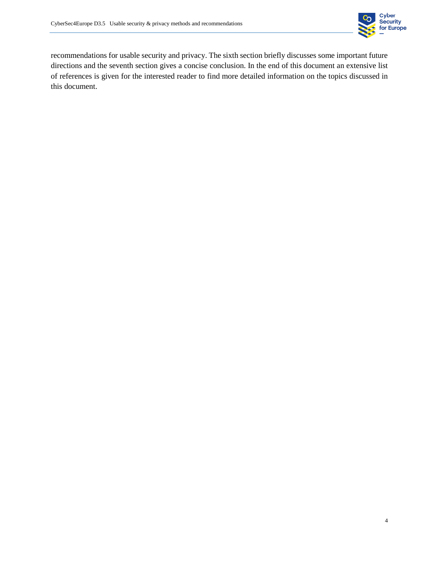

recommendations for usable security and privacy. The sixth section briefly discusses some important future directions and the seventh section gives a concise conclusion. In the end of this document an extensive list of references is given for the interested reader to find more detailed information on the topics discussed in this document.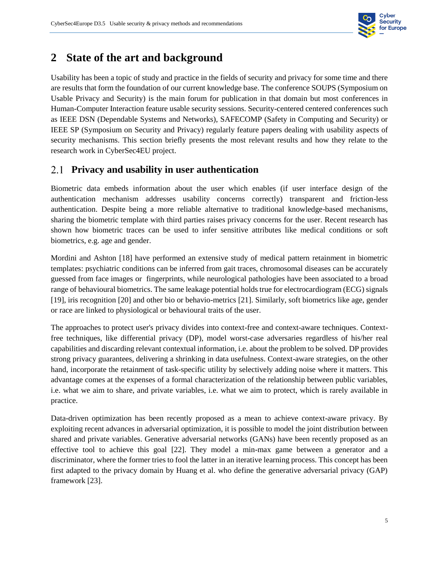

#### <span id="page-10-0"></span>**2 State of the art and background**

Usability has been a topic of study and practice in the fields of security and privacy for some time and there are results that form the foundation of our current knowledge base. The conference SOUPS (Symposium on Usable Privacy and Security) is the main forum for publication in that domain but most conferences in Human-Computer Interaction feature usable security sessions. Security-centered centered conferences such as IEEE DSN (Dependable Systems and Networks), SAFECOMP (Safety in Computing and Security) or IEEE SP (Symposium on Security and Privacy) regularly feature papers dealing with usability aspects of security mechanisms. This section briefly presents the most relevant results and how they relate to the research work in CyberSec4EU project.

#### <span id="page-10-1"></span>**Privacy and usability in user authentication**

Biometric data embeds information about the user which enables (if user interface design of the authentication mechanism addresses usability concerns correctly) transparent and friction-less authentication. Despite being a more reliable alternative to traditional knowledge-based mechanisms, sharing the biometric template with third parties raises privacy concerns for the user. Recent research has shown how biometric traces can be used to infer sensitive attributes like medical conditions or soft biometrics, e.g. age and gender.

Mordini and Ashton [18] have performed an extensive study of medical pattern retainment in biometric templates: psychiatric conditions can be inferred from gait traces, chromosomal diseases can be accurately guessed from face images or fingerprints, while neurological pathologies have been associated to a broad range of behavioural biometrics. The same leakage potential holds true for electrocardiogram (ECG) signals [19], iris recognition [20] and other bio or behavio-metrics [21]. Similarly, soft biometrics like age, gender or race are linked to physiological or behavioural traits of the user.

The approaches to protect user's privacy divides into context-free and context-aware techniques. Contextfree techniques, like differential privacy (DP), model worst-case adversaries regardless of his/her real capabilities and discarding relevant contextual information, i.e. about the problem to be solved. DP provides strong privacy guarantees, delivering a shrinking in data usefulness. Context-aware strategies, on the other hand, incorporate the retainment of task-specific utility by selectively adding noise where it matters. This advantage comes at the expenses of a formal characterization of the relationship between public variables, i.e. what we aim to share, and private variables, i.e. what we aim to protect, which is rarely available in practice.

Data-driven optimization has been recently proposed as a mean to achieve context-aware privacy. By exploiting recent advances in adversarial optimization, it is possible to model the joint distribution between shared and private variables. Generative adversarial networks (GANs) have been recently proposed as an effective tool to achieve this goal [22]. They model a min-max game between a generator and a discriminator, where the former tries to fool the latter in an iterative learning process. This concept has been first adapted to the privacy domain by Huang et al. who define the generative adversarial privacy (GAP) framework [23].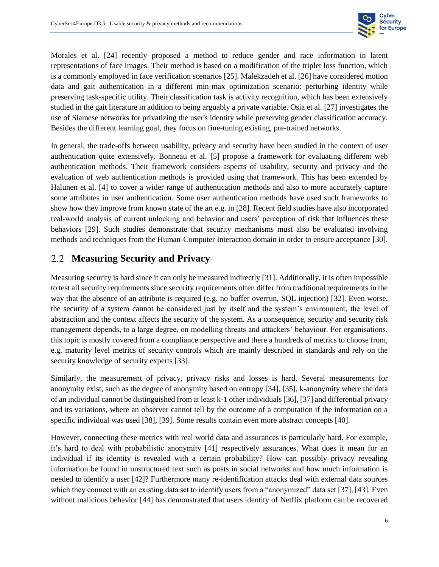

Morales et al. [24] recently proposed a method to reduce gender and race information in latent representations of face images. Their method is based on a modification of the triplet loss function, which is a commonly employed in face verification scenarios [25]. Malekzadeh et al. [26] have considered motion data and gait authentication in a different min-max optimization scenario: perturbing identity while preserving task-specific utility. Their classification task is activity recognition, which has been extensively studied in the gait literature in addition to being arguably a private variable. Osia et al. [27] investigates the use of Siamese networks for privatizing the user's identity while preserving gender classification accuracy. Besides the different learning goal, they focus on fine-tuning existing, pre-trained networks.

In general, the trade-offs between usability, privacy and security have been studied in the context of user authentication quite extensively. Bonneau et al. [5] propose a framework for evaluating different web authentication methods. Their framework considers aspects of usability, security and privacy and the evaluation of web authentication methods is provided using that framework. This has been extended by Halunen et al. [4] to cover a wider range of authentication methods and also to more accurately capture some attributes in user authentication. Some user authentication methods have used such frameworks to show how they improve from known state of the art e.g. in [28]. Recent field studies have also incorporated real-world analysis of current unlocking and behavior and users' perception of risk that influences these behaviors [29]. Such studies demonstrate that security mechanisms must also be evaluated involving methods and techniques from the Human-Computer Interaction domain in order to ensure acceptance [30].

#### <span id="page-11-0"></span>**Measuring Security and Privacy**

Measuring security is hard since it can only be measured indirectly [31]. Additionally, it is often impossible to test all security requirements since security requirements often differ from traditional requirements in the way that the absence of an attribute is required (e.g. no buffer overrun, SQL injection) [32]. Even worse, the security of a system cannot be considered just by itself and the system's environment, the level of abstraction and the context affects the security of the system. As a consequence, security and security risk management depends, to a large degree, on modelling threats and attackers' behaviour. For organisations, this topic is mostly covered from a compliance perspective and there a hundreds of metrics to choose from, e.g. maturity level metrics of security controls which are mainly described in standards and rely on the security knowledge of security experts [33].

Similarly, the measurement of privacy, privacy risks and losses is hard. Several measurements for anonymity exist, such as the degree of anonymity based on entropy [34], [35], k-anonymity where the data of an individual cannot be distinguished from at least k-1 other individuals [36], [37] and differential privacy and its variations, where an observer cannot tell by the outcome of a computation if the information on a specific individual was used [38], [39]. Some results contain even more abstract concepts [40].

However, connecting these metrics with real world data and assurances is particularly hard. For example, it's hard to deal with probabilistic anonymity [41] respectively assurances. What does it mean for an individual if its identity is revealed with a certain probability? How can possibly privacy revealing information be found in unstructured text such as posts in social networks and how much information is needed to identify a user [42]? Furthermore many re-identification attacks deal with external data sources which they connect with an existing data set to identify users from a "anonymized" data set [37], [43]. Even without malicious behavior [44] has demonstrated that users identity of Netflix platform can be recovered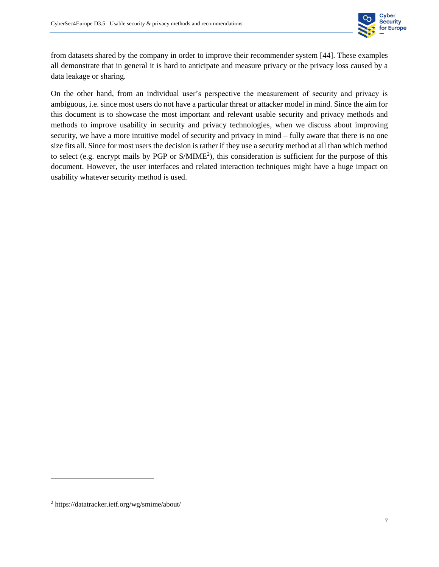

from datasets shared by the company in order to improve their recommender system [44]. These examples all demonstrate that in general it is hard to anticipate and measure privacy or the privacy loss caused by a data leakage or sharing.

On the other hand, from an individual user's perspective the measurement of security and privacy is ambiguous, i.e. since most users do not have a particular threat or attacker model in mind. Since the aim for this document is to showcase the most important and relevant usable security and privacy methods and methods to improve usability in security and privacy technologies, when we discuss about improving security, we have a more intuitive model of security and privacy in mind – fully aware that there is no one size fits all. Since for most users the decision is rather if they use a security method at all than which method to select (e.g. encrypt mails by PGP or S/MIME<sup>2</sup>), this consideration is sufficient for the purpose of this document. However, the user interfaces and related interaction techniques might have a huge impact on usability whatever security method is used.

 $\overline{\phantom{a}}$ 

<sup>2</sup> https://datatracker.ietf.org/wg/smime/about/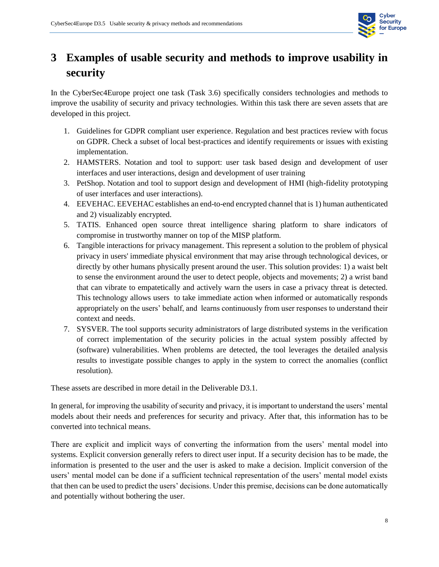

## <span id="page-13-0"></span>**3 Examples of usable security and methods to improve usability in security**

In the CyberSec4Europe project one task (Task 3.6) specifically considers technologies and methods to improve the usability of security and privacy technologies. Within this task there are seven assets that are developed in this project.

- 1. Guidelines for GDPR compliant user experience. Regulation and best practices review with focus on GDPR. Check a subset of local best-practices and identify requirements or issues with existing implementation.
- 2. HAMSTERS. Notation and tool to support: user task based design and development of user interfaces and user interactions, design and development of user training
- 3. PetShop. Notation and tool to support design and development of HMI (high-fidelity prototyping of user interfaces and user interactions).
- 4. EEVEHAC. EEVEHAC establishes an end-to-end encrypted channel that is 1) human authenticated and 2) visualizably encrypted.
- 5. TATIS. Enhanced open source threat intelligence sharing platform to share indicators of compromise in trustworthy manner on top of the MISP platform.
- 6. Tangible interactions for privacy management. This represent a solution to the problem of physical privacy in users' immediate physical environment that may arise through technological devices, or directly by other humans physically present around the user. This solution provides: 1) a waist belt to sense the environment around the user to detect people, objects and movements; 2) a wrist band that can vibrate to empatetically and actively warn the users in case a privacy threat is detected. This technology allows users to take immediate action when informed or automatically responds appropriately on the users' behalf, and learns continuously from user responses to understand their context and needs.
- 7. SYSVER. The tool supports security administrators of large distributed systems in the verification of correct implementation of the security policies in the actual system possibly affected by (software) vulnerabilities. When problems are detected, the tool leverages the detailed analysis results to investigate possible changes to apply in the system to correct the anomalies (conflict resolution).

These assets are described in more detail in the Deliverable D3.1.

In general, for improving the usability of security and privacy, it is important to understand the users' mental models about their needs and preferences for security and privacy. After that, this information has to be converted into technical means.

There are explicit and implicit ways of converting the information from the users' mental model into systems. Explicit conversion generally refers to direct user input. If a security decision has to be made, the information is presented to the user and the user is asked to make a decision. Implicit conversion of the users' mental model can be done if a sufficient technical representation of the users' mental model exists that then can be used to predict the users' decisions. Under this premise, decisions can be done automatically and potentially without bothering the user.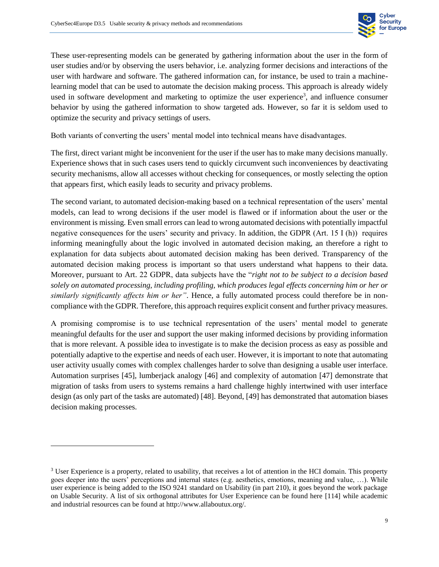

These user-representing models can be generated by gathering information about the user in the form of user studies and/or by observing the users behavior, i.e. analyzing former decisions and interactions of the user with hardware and software. The gathered information can, for instance, be used to train a machinelearning model that can be used to automate the decision making process. This approach is already widely used in software development and marketing to optimize the user experience<sup>3</sup>, and influence consumer behavior by using the gathered information to show targeted ads. However, so far it is seldom used to optimize the security and privacy settings of users.

Both variants of converting the users' mental model into technical means have disadvantages.

The first, direct variant might be inconvenient for the user if the user has to make many decisions manually. Experience shows that in such cases users tend to quickly circumvent such inconveniences by deactivating security mechanisms, allow all accesses without checking for consequences, or mostly selecting the option that appears first, which easily leads to security and privacy problems.

The second variant, to automated decision-making based on a technical representation of the users' mental models, can lead to wrong decisions if the user model is flawed or if information about the user or the environment is missing. Even small errors can lead to wrong automated decisions with potentially impactful negative consequences for the users' security and privacy. In addition, the GDPR (Art. 15 I (h)) requires informing meaningfully about the logic involved in automated decision making, an therefore a right to explanation for data subjects about automated decision making has been derived. Transparency of the automated decision making process is important so that users understand what happens to their data. Moreover, pursuant to Art. 22 GDPR, data subjects have the "*right not to be subject to a decision based solely on automated processing, including profiling, which produces legal effects concerning him or her or similarly significantly affects him or her"*. Hence, a fully automated process could therefore be in noncompliance with the GDPR. Therefore, this approach requires explicit consent and further privacy measures.

A promising compromise is to use technical representation of the users' mental model to generate meaningful defaults for the user and support the user making informed decisions by providing information that is more relevant. A possible idea to investigate is to make the decision process as easy as possible and potentially adaptive to the expertise and needs of each user. However, it is important to note that automating user activity usually comes with complex challenges harder to solve than designing a usable user interface. Automation surprises [45], lumberjack analogy [46] and complexity of automation [47] demonstrate that migration of tasks from users to systems remains a hard challenge highly intertwined with user interface design (as only part of the tasks are automated) [48]. Beyond, [49] has demonstrated that automation biases decision making processes.

l

<sup>&</sup>lt;sup>3</sup> User Experience is a property, related to usability, that receives a lot of attention in the HCI domain. This property goes deeper into the users' perceptions and internal states (e.g. aesthetics, emotions, meaning and value, …). While user experience is being added to the ISO 9241 standard on Usability (in part 210), it goes beyond the work package on Usable Security. A list of six orthogonal attributes for User Experience can be found here [114] while academic and industrial resources can be found at http://www.allaboutux.org/.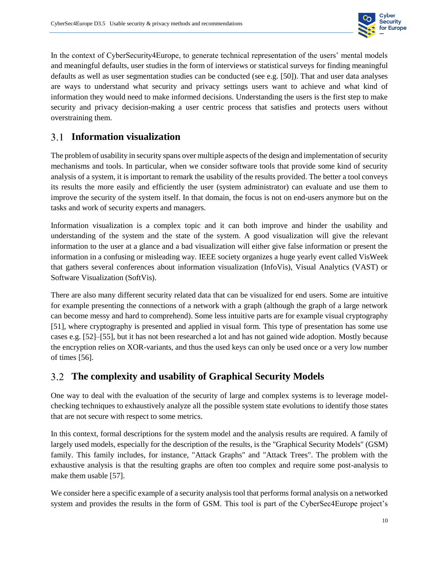

In the context of CyberSecurity4Europe, to generate technical representation of the users' mental models and meaningful defaults, user studies in the form of interviews or statistical surveys for finding meaningful defaults as well as user segmentation studies can be conducted (see e.g. [50]). That and user data analyses are ways to understand what security and privacy settings users want to achieve and what kind of information they would need to make informed decisions. Understanding the users is the first step to make security and privacy decision-making a user centric process that satisfies and protects users without overstraining them.

#### <span id="page-15-0"></span>**Information visualization**

The problem of usability in security spans over multiple aspects of the design and implementation of security mechanisms and tools. In particular, when we consider software tools that provide some kind of security analysis of a system, it is important to remark the usability of the results provided. The better a tool conveys its results the more easily and efficiently the user (system administrator) can evaluate and use them to improve the security of the system itself. In that domain, the focus is not on end-users anymore but on the tasks and work of security experts and managers.

Information visualization is a complex topic and it can both improve and hinder the usability and understanding of the system and the state of the system. A good visualization will give the relevant information to the user at a glance and a bad visualization will either give false information or present the information in a confusing or misleading way. IEEE society organizes a huge yearly event called VisWeek that gathers several conferences about information visualization (InfoVis), Visual Analytics (VAST) or Software Visualization (SoftVis).

There are also many different security related data that can be visualized for end users. Some are intuitive for example presenting the connections of a network with a graph (although the graph of a large network can become messy and hard to comprehend). Some less intuitive parts are for example visual cryptography [51], where cryptography is presented and applied in visual form. This type of presentation has some use cases e.g. [52]–[55], but it has not been researched a lot and has not gained wide adoption. Mostly because the encryption relies on XOR-variants, and thus the used keys can only be used once or a very low number of times [56].

#### <span id="page-15-1"></span>**The complexity and usability of Graphical Security Models**

One way to deal with the evaluation of the security of large and complex systems is to leverage modelchecking techniques to exhaustively analyze all the possible system state evolutions to identify those states that are not secure with respect to some metrics.

In this context, formal descriptions for the system model and the analysis results are required. A family of largely used models, especially for the description of the results, is the "Graphical Security Models" (GSM) family. This family includes, for instance, "Attack Graphs" and "Attack Trees". The problem with the exhaustive analysis is that the resulting graphs are often too complex and require some post-analysis to make them usable [57].

We consider here a specific example of a security analysis tool that performs formal analysis on a networked system and provides the results in the form of GSM. This tool is part of the CyberSec4Europe project's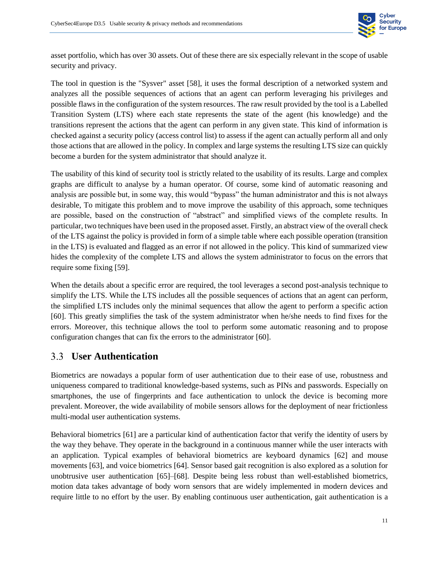

asset portfolio, which has over 30 assets. Out of these there are six especially relevant in the scope of usable security and privacy.

The tool in question is the "Sysver" asset [58], it uses the formal description of a networked system and analyzes all the possible sequences of actions that an agent can perform leveraging his privileges and possible flaws in the configuration of the system resources. The raw result provided by the tool is a Labelled Transition System (LTS) where each state represents the state of the agent (his knowledge) and the transitions represent the actions that the agent can perform in any given state. This kind of information is checked against a security policy (access control list) to assess if the agent can actually perform all and only those actions that are allowed in the policy. In complex and large systems the resulting LTS size can quickly become a burden for the system administrator that should analyze it.

The usability of this kind of security tool is strictly related to the usability of its results. Large and complex graphs are difficult to analyse by a human operator. Of course, some kind of automatic reasoning and analysis are possible but, in some way, this would "bypass" the human administrator and this is not always desirable, To mitigate this problem and to move improve the usability of this approach, some techniques are possible, based on the construction of "abstract" and simplified views of the complete results. In particular, two techniques have been used in the proposed asset. Firstly, an abstract view of the overall check of the LTS against the policy is provided in form of a simple table where each possible operation (transition in the LTS) is evaluated and flagged as an error if not allowed in the policy. This kind of summarized view hides the complexity of the complete LTS and allows the system administrator to focus on the errors that require some fixing [59].

When the details about a specific error are required, the tool leverages a second post-analysis technique to simplify the LTS. While the LTS includes all the possible sequences of actions that an agent can perform, the simplified LTS includes only the minimal sequences that allow the agent to perform a specific action [60]. This greatly simplifies the task of the system administrator when he/she needs to find fixes for the errors. Moreover, this technique allows the tool to perform some automatic reasoning and to propose configuration changes that can fix the errors to the administrator [60].

#### <span id="page-16-0"></span>**User Authentication**

Biometrics are nowadays a popular form of user authentication due to their ease of use, robustness and uniqueness compared to traditional knowledge-based systems, such as PINs and passwords. Especially on smartphones, the use of fingerprints and face authentication to unlock the device is becoming more prevalent. Moreover, the wide availability of mobile sensors allows for the deployment of near frictionless multi-modal user authentication systems.

Behavioral biometrics [61] are a particular kind of authentication factor that verify the identity of users by the way they behave. They operate in the background in a continuous manner while the user interacts with an application. Typical examples of behavioral biometrics are keyboard dynamics [62] and mouse movements [63], and voice biometrics [64]. Sensor based gait recognition is also explored as a solution for unobtrusive user authentication [65]–[68]. Despite being less robust than well-established biometrics, motion data takes advantage of body worn sensors that are widely implemented in modern devices and require little to no effort by the user. By enabling continuous user authentication, gait authentication is a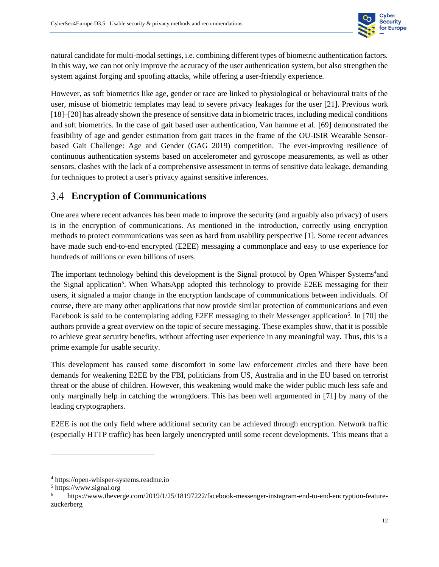

natural candidate for multi-modal settings, i.e. combining different types of biometric authentication factors. In this way, we can not only improve the accuracy of the user authentication system, but also strengthen the system against forging and spoofing attacks, while offering a user-friendly experience.

However, as soft biometrics like age, gender or race are linked to physiological or behavioural traits of the user, misuse of biometric templates may lead to severe privacy leakages for the user [21]. Previous work [18]–[20] has already shown the presence of sensitive data in biometric traces, including medical conditions and soft biometrics. In the case of gait based user authentication, Van hamme et al. [69] demonstrated the feasibility of age and gender estimation from gait traces in the frame of the OU-ISIR Wearable Sensorbased Gait Challenge: Age and Gender (GAG 2019) competition. The ever-improving resilience of continuous authentication systems based on accelerometer and gyroscope measurements, as well as other sensors, clashes with the lack of a comprehensive assessment in terms of sensitive data leakage, demanding for techniques to protect a user's privacy against sensitive inferences.

#### <span id="page-17-0"></span>**Encryption of Communications**

One area where recent advances has been made to improve the security (and arguably also privacy) of users is in the encryption of communications. As mentioned in the introduction, correctly using encryption methods to protect communications was seen as hard from usability perspective [1]. Some recent advances have made such end-to-end encrypted (E2EE) messaging a commonplace and easy to use experience for hundreds of millions or even billions of users.

The important technology behind this development is the Signal protocol by Open Whisper Systems<sup>4</sup>and the Signal application<sup>5</sup>. When WhatsApp adopted this technology to provide E2EE messaging for their users, it signaled a major change in the encryption landscape of communications between individuals. Of course, there are many other applications that now provide similar protection of communications and even Facebook is said to be contemplating adding E2EE messaging to their Messenger application<sup>6</sup>. In [70] the authors provide a great overview on the topic of secure messaging. These examples show, that it is possible to achieve great security benefits, without affecting user experience in any meaningful way. Thus, this is a prime example for usable security.

This development has caused some discomfort in some law enforcement circles and there have been demands for weakening E2EE by the FBI, politicians from US, Australia and in the EU based on terrorist threat or the abuse of children. However, this weakening would make the wider public much less safe and only marginally help in catching the wrongdoers. This has been well argumented in [71] by many of the leading cryptographers.

E2EE is not the only field where additional security can be achieved through encryption. Network traffic (especially HTTP traffic) has been largely unencrypted until some recent developments. This means that a

l

<sup>4</sup> https://open-whisper-systems.readme.io

<sup>5</sup> https://www.signal.org

https://www.theverge.com/2019/1/25/18197222/facebook-messenger-instagram-end-to-end-encryption-featurezuckerberg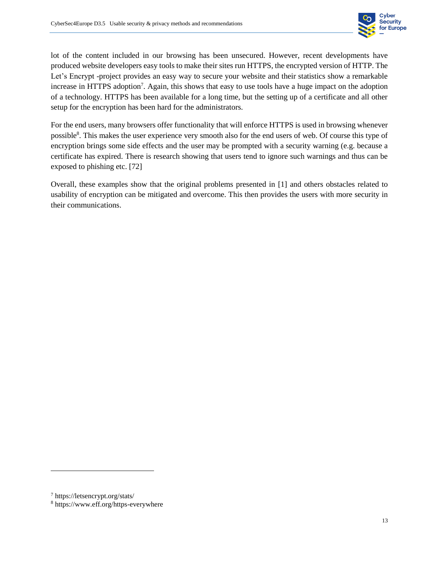

lot of the content included in our browsing has been unsecured. However, recent developments have produced website developers easy tools to make their sites run HTTPS, the encrypted version of HTTP. The Let's Encrypt -project provides an easy way to secure your website and their statistics show a remarkable increase in HTTPS adoption<sup>7</sup>. Again, this shows that easy to use tools have a huge impact on the adoption of a technology. HTTPS has been available for a long time, but the setting up of a certificate and all other setup for the encryption has been hard for the administrators.

For the end users, many browsers offer functionality that will enforce HTTPS is used in browsing whenever possible<sup>8</sup>. This makes the user experience very smooth also for the end users of web. Of course this type of encryption brings some side effects and the user may be prompted with a security warning (e.g. because a certificate has expired. There is research showing that users tend to ignore such warnings and thus can be exposed to phishing etc. [72]

Overall, these examples show that the original problems presented in [1] and others obstacles related to usability of encryption can be mitigated and overcome. This then provides the users with more security in their communications.

l

<sup>7</sup> https://letsencrypt.org/stats/

<sup>8</sup> https://www.eff.org/https-everywhere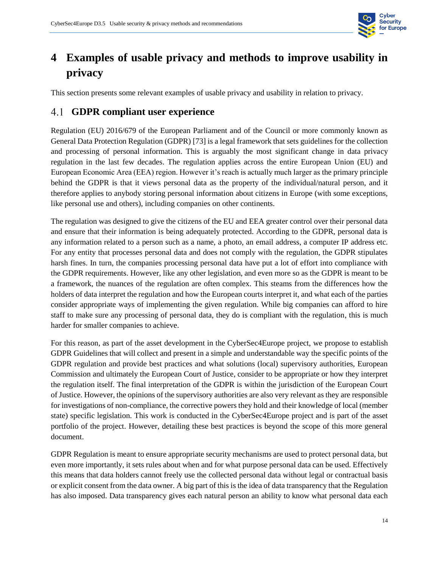

# <span id="page-19-0"></span>**4 Examples of usable privacy and methods to improve usability in privacy**

This section presents some relevant examples of usable privacy and usability in relation to privacy.

#### <span id="page-19-1"></span>**GDPR compliant user experience**

Regulation (EU) 2016/679 of the European Parliament and of the Council or more commonly known as General Data Protection Regulation (GDPR) [73] is a legal framework that sets guidelines for the collection and processing of personal information. This is arguably the most significant change in data privacy regulation in the last few decades. The regulation applies across the entire European Union (EU) and European Economic Area (EEA) region. However it's reach is actually much larger as the primary principle behind the GDPR is that it views personal data as the property of the individual/natural person, and it therefore applies to anybody storing personal information about citizens in Europe (with some exceptions, like personal use and others), including companies on other continents.

The regulation was designed to give the citizens of the EU and EEA greater control over their personal data and ensure that their information is being adequately protected. According to the GDPR, personal data is any information related to a person such as a name, a photo, an email address, a computer IP address etc. For any entity that processes personal data and does not comply with the regulation, the GDPR stipulates harsh fines. In turn, the companies processing personal data have put a lot of effort into compliance with the GDPR requirements. However, like any other legislation, and even more so as the GDPR is meant to be a framework, the nuances of the regulation are often complex. This steams from the differences how the holders of data interpret the regulation and how the European courts interpret it, and what each of the parties consider appropriate ways of implementing the given regulation. While big companies can afford to hire staff to make sure any processing of personal data, they do is compliant with the regulation, this is much harder for smaller companies to achieve.

For this reason, as part of the asset development in the CyberSec4Europe project, we propose to establish GDPR Guidelines that will collect and present in a simple and understandable way the specific points of the GDPR regulation and provide best practices and what solutions (local) supervisory authorities, European Commission and ultimately the European Court of Justice, consider to be appropriate or how they interpret the regulation itself. The final interpretation of the GDPR is within the jurisdiction of the European Court of Justice. However, the opinions of the supervisory authorities are also very relevant as they are responsible for investigations of non-compliance, the corrective powers they hold and their knowledge of local (member state) specific legislation. This work is conducted in the CyberSec4Europe project and is part of the asset portfolio of the project. However, detailing these best practices is beyond the scope of this more general document.

GDPR Regulation is meant to ensure appropriate security mechanisms are used to protect personal data, but even more importantly, it sets rules about when and for what purpose personal data can be used. Effectively this means that data holders cannot freely use the collected personal data without legal or contractual basis or explicit consent from the data owner. A big part of this is the idea of data transparency that the Regulation has also imposed. Data transparency gives each natural person an ability to know what personal data each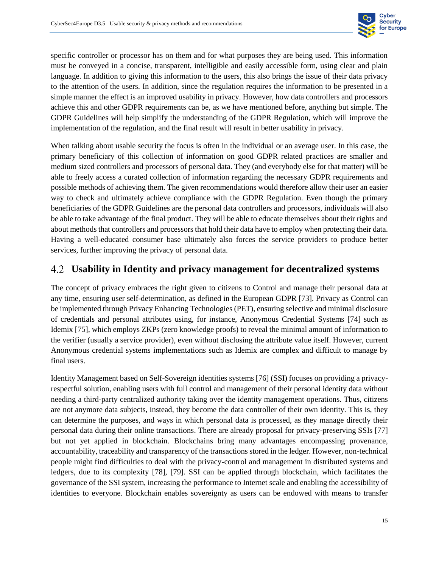

specific controller or processor has on them and for what purposes they are being used. This information must be conveyed in a concise, transparent, intelligible and easily accessible form, using clear and plain language. In addition to giving this information to the users, this also brings the issue of their data privacy to the attention of the users. In addition, since the regulation requires the information to be presented in a simple manner the effect is an improved usability in privacy. However, how data controllers and processors achieve this and other GDPR requirements can be, as we have mentioned before, anything but simple. The GDPR Guidelines will help simplify the understanding of the GDPR Regulation, which will improve the implementation of the regulation, and the final result will result in better usability in privacy.

When talking about usable security the focus is often in the individual or an average user. In this case, the primary beneficiary of this collection of information on good GDPR related practices are smaller and medium sized controllers and processors of personal data. They (and everybody else for that matter) will be able to freely access a curated collection of information regarding the necessary GDPR requirements and possible methods of achieving them. The given recommendations would therefore allow their user an easier way to check and ultimately achieve compliance with the GDPR Regulation. Even though the primary beneficiaries of the GDPR Guidelines are the personal data controllers and processors, individuals will also be able to take advantage of the final product. They will be able to educate themselves about their rights and about methods that controllers and processors that hold their data have to employ when protecting their data. Having a well-educated consumer base ultimately also forces the service providers to produce better services, further improving the privacy of personal data.

#### <span id="page-20-0"></span>**Usability in Identity and privacy management for decentralized systems**

The concept of privacy embraces the right given to citizens to Control and manage their personal data at any time, ensuring user self-determination, as defined in the European GDPR [73]. Privacy as Control can be implemented through Privacy Enhancing Technologies (PET), ensuring selective and minimal disclosure of credentials and personal attributes using, for instance, Anonymous Credential Systems [74] such as Idemix [75], which employs ZKPs (zero knowledge proofs) to reveal the minimal amount of information to the verifier (usually a service provider), even without disclosing the attribute value itself. However, current Anonymous credential systems implementations such as Idemix are complex and difficult to manage by final users.

Identity Management based on Self-Sovereign identities systems [76] (SSI) focuses on providing a privacyrespectful solution, enabling users with full control and management of their personal identity data without needing a third-party centralized authority taking over the identity management operations. Thus, citizens are not anymore data subjects, instead, they become the data controller of their own identity. This is, they can determine the purposes, and ways in which personal data is processed, as they manage directly their personal data during their online transactions. There are already proposal for privacy-preserving SSIs [77] but not yet applied in blockchain. Blockchains bring many advantages encompassing provenance, accountability, traceability and transparency of the transactions stored in the ledger. However, non-technical people might find difficulties to deal with the privacy-control and management in distributed systems and ledgers, due to its complexity [78], [79]. SSI can be applied through blockchain, which facilitates the governance of the SSI system, increasing the performance to Internet scale and enabling the accessibility of identities to everyone. Blockchain enables sovereignty as users can be endowed with means to transfer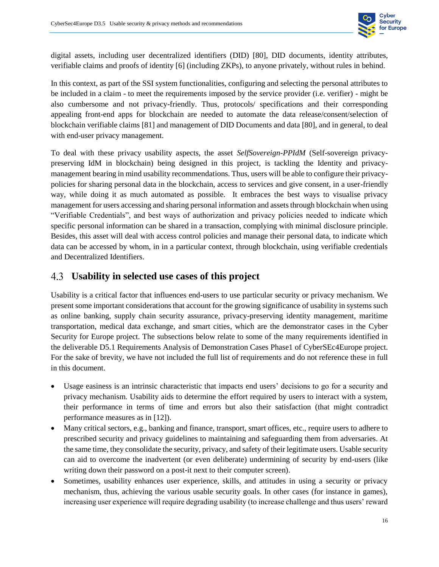

digital assets, including user decentralized identifiers (DID) [80], DID documents, identity attributes, verifiable claims and proofs of identity [6] (including ZKPs), to anyone privately, without rules in behind.

In this context, as part of the SSI system functionalities, configuring and selecting the personal attributes to be included in a claim - to meet the requirements imposed by the service provider (i.e. verifier) - might be also cumbersome and not privacy-friendly. Thus, protocols/ specifications and their corresponding appealing front-end apps for blockchain are needed to automate the data release/consent/selection of blockchain verifiable claims [81] and management of DID Documents and data [80], and in general, to deal with end-user privacy management.

To deal with these privacy usability aspects, the asset *SelfSovereign-PPIdM* (Self-sovereign privacypreserving IdM in blockchain) being designed in this project, is tackling the Identity and privacymanagement bearing in mind usability recommendations. Thus, users will be able to configure their privacypolicies for sharing personal data in the blockchain, access to services and give consent, in a user-friendly way, while doing it as much automated as possible. It embraces the best ways to visualise privacy management for users accessing and sharing personal information and assets through blockchain when using "Verifiable Credentials", and best ways of authorization and privacy policies needed to indicate which specific personal information can be shared in a transaction, complying with minimal disclosure principle. Besides, this asset will deal with access control policies and manage their personal data, to indicate which data can be accessed by whom, in in a particular context, through blockchain, using verifiable credentials and Decentralized Identifiers.

#### <span id="page-21-0"></span>4.3 **Usability in selected use cases of this project**

Usability is a critical factor that influences end-users to use particular security or privacy mechanism. We present some important considerations that account for the growing significance of usability in systems such as online banking, supply chain security assurance, privacy-preserving identity management, maritime transportation, medical data exchange, and smart cities, which are the demonstrator cases in the Cyber Security for Europe project. The subsections below relate to some of the many requirements identified in the deliverable D5.1 Requirements Analysis of Demonstration Cases Phase1 of CyberSEc4Europe project. For the sake of brevity, we have not included the full list of requirements and do not reference these in full in this document.

- Usage easiness is an intrinsic characteristic that impacts end users' decisions to go for a security and privacy mechanism. Usability aids to determine the effort required by users to interact with a system, their performance in terms of time and errors but also their satisfaction (that might contradict performance measures as in [12]).
- Many critical sectors, e.g., banking and finance, transport, smart offices, etc., require users to adhere to prescribed security and privacy guidelines to maintaining and safeguarding them from adversaries. At the same time, they consolidate the security, privacy, and safety of their legitimate users. Usable security can aid to overcome the inadvertent (or even deliberate) undermining of security by end-users (like writing down their password on a post-it next to their computer screen).
- Sometimes, usability enhances user experience, skills, and attitudes in using a security or privacy mechanism, thus, achieving the various usable security goals. In other cases (for instance in games), increasing user experience will require degrading usability (to increase challenge and thus users' reward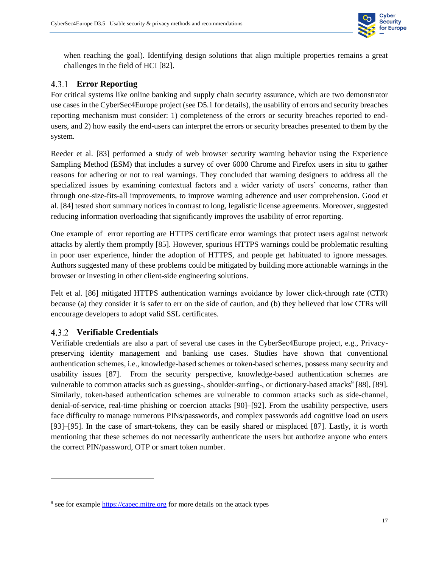

when reaching the goal). Identifying design solutions that align multiple properties remains a great challenges in the field of HCI [82].

#### <span id="page-22-0"></span>**Error Reporting**

For critical systems like online banking and supply chain security assurance, which are two demonstrator use cases in the CyberSec4Europe project (see D5.1 for details), the usability of errors and security breaches reporting mechanism must consider: 1) completeness of the errors or security breaches reported to endusers, and 2) how easily the end-users can interpret the errors or security breaches presented to them by the system.

Reeder et al. [83] performed a study of web browser security warning behavior using the Experience Sampling Method (ESM) that includes a survey of over 6000 Chrome and Firefox users in situ to gather reasons for adhering or not to real warnings. They concluded that warning designers to address all the specialized issues by examining contextual factors and a wider variety of users' concerns, rather than through one-size-fits-all improvements, to improve warning adherence and user comprehension. Good et al. [84] tested short summary notices in contrast to long, legalistic license agreements. Moreover, suggested reducing information overloading that significantly improves the usability of error reporting.

One example of error reporting are HTTPS certificate error warnings that protect users against network attacks by alertly them promptly [85]. However, spurious HTTPS warnings could be problematic resulting in poor user experience, hinder the adoption of HTTPS, and people get habituated to ignore messages. Authors suggested many of these problems could be mitigated by building more actionable warnings in the browser or investing in other client-side engineering solutions.

Felt et al. [86] mitigated HTTPS authentication warnings avoidance by lower click-through rate (CTR) because (a) they consider it is safer to err on the side of caution, and (b) they believed that low CTRs will encourage developers to adopt valid SSL certificates.

#### <span id="page-22-1"></span>**Verifiable Credentials**

 $\overline{\phantom{a}}$ 

Verifiable credentials are also a part of several use cases in the CyberSec4Europe project, e.g., Privacypreserving identity management and banking use cases. Studies have shown that conventional authentication schemes, i.e., knowledge-based schemes or token-based schemes, possess many security and usability issues [87]. From the security perspective, knowledge-based authentication schemes are vulnerable to common attacks such as guessing-, shoulder-surfing-, or dictionary-based attacks<sup>9</sup> [88], [89]. Similarly, token-based authentication schemes are vulnerable to common attacks such as side-channel, denial-of-service, real-time phishing or coercion attacks [90]–[92]. From the usability perspective, users face difficulty to manage numerous PINs/passwords, and complex passwords add cognitive load on users [93]–[95]. In the case of smart-tokens, they can be easily shared or misplaced [87]. Lastly, it is worth mentioning that these schemes do not necessarily authenticate the users but authorize anyone who enters the correct PIN/password, OTP or smart token number.

<sup>&</sup>lt;sup>9</sup> see for example [https://capec.mitre.org](https://capec.mitre.org/) for more details on the attack types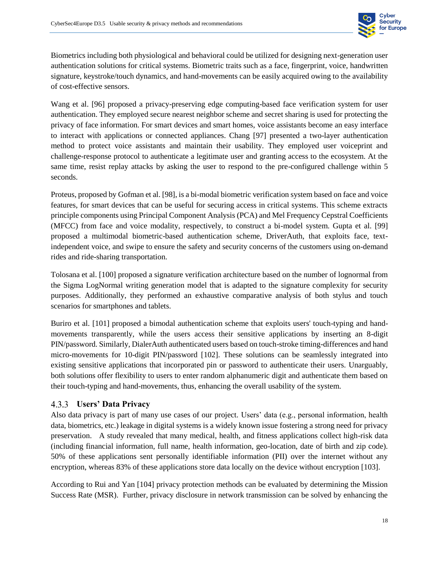

Biometrics including both physiological and behavioral could be utilized for designing next-generation user authentication solutions for critical systems. Biometric traits such as a face, fingerprint, voice, handwritten signature, keystroke/touch dynamics, and hand-movements can be easily acquired owing to the availability of cost-effective sensors.

Wang et al. [96] proposed a privacy-preserving edge computing-based face verification system for user authentication. They employed secure nearest neighbor scheme and secret sharing is used for protecting the privacy of face information. For smart devices and smart homes, voice assistants become an easy interface to interact with applications or connected appliances. Chang [97] presented a two-layer authentication method to protect voice assistants and maintain their usability. They employed user voiceprint and challenge-response protocol to authenticate a legitimate user and granting access to the ecosystem. At the same time, resist replay attacks by asking the user to respond to the pre-configured challenge within 5 seconds.

Proteus, proposed by Gofman et al. [98], is a bi-modal biometric verification system based on face and voice features, for smart devices that can be useful for securing access in critical systems. This scheme extracts principle components using Principal Component Analysis (PCA) and Mel Frequency Cepstral Coefficients (MFCC) from face and voice modality, respectively, to construct a bi-model system. Gupta et al. [99] proposed a multimodal biometric-based authentication scheme, DriverAuth, that exploits face, textindependent voice, and swipe to ensure the safety and security concerns of the customers using on-demand rides and ride-sharing transportation.

Tolosana et al. [100] proposed a signature verification architecture based on the number of lognormal from the Sigma LogNormal writing generation model that is adapted to the signature complexity for security purposes. Additionally, they performed an exhaustive comparative analysis of both stylus and touch scenarios for smartphones and tablets.

Buriro et al. [101] proposed a bimodal authentication scheme that exploits users' touch-typing and handmovements transparently, while the users access their sensitive applications by inserting an 8-digit PIN/password. Similarly, DialerAuth authenticated users based on touch-stroke timing-differences and hand micro-movements for 10-digit PIN/password [102]. These solutions can be seamlessly integrated into existing sensitive applications that incorporated pin or password to authenticate their users. Unarguably, both solutions offer flexibility to users to enter random alphanumeric digit and authenticate them based on their touch-typing and hand-movements, thus, enhancing the overall usability of the system.

#### <span id="page-23-0"></span>**Users' Data Privacy**

Also data privacy is part of many use cases of our project. Users' data (e.g., personal information, health data, biometrics, etc.) leakage in digital systems is a widely known issue fostering a strong need for privacy preservation. A study revealed that many medical, health, and fitness applications collect high-risk data (including financial information, full name, health information, geo-location, date of birth and zip code). 50% of these applications sent personally identifiable information (PII) over the internet without any encryption, whereas 83% of these applications store data locally on the device without encryption [103].

According to Rui and Yan [104] privacy protection methods can be evaluated by determining the Mission Success Rate (MSR). Further, privacy disclosure in network transmission can be solved by enhancing the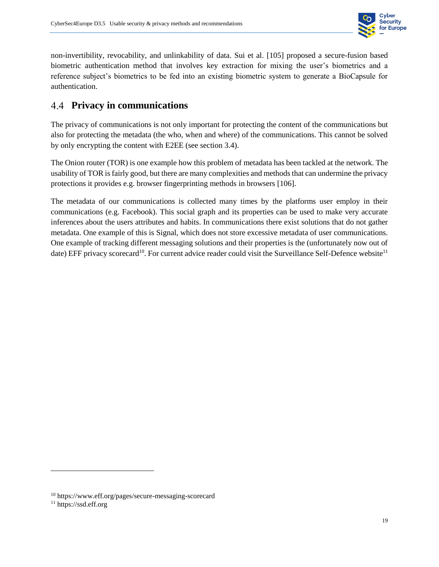

non-invertibility, revocability, and unlinkability of data. Sui et al. [105] proposed a secure-fusion based biometric authentication method that involves key extraction for mixing the user's biometrics and a reference subject's biometrics to be fed into an existing biometric system to generate a BioCapsule for authentication.

#### <span id="page-24-0"></span>**Privacy in communications**

The privacy of communications is not only important for protecting the content of the communications but also for protecting the metadata (the who, when and where) of the communications. This cannot be solved by only encrypting the content with E2EE (see section [3.4\)](#page-17-0).

The Onion router (TOR) is one example how this problem of metadata has been tackled at the network. The usability of TOR is fairly good, but there are many complexities and methods that can undermine the privacy protections it provides e.g. browser fingerprinting methods in browsers [106].

The metadata of our communications is collected many times by the platforms user employ in their communications (e.g. Facebook). This social graph and its properties can be used to make very accurate inferences about the users attributes and habits. In communications there exist solutions that do not gather metadata. One example of this is Signal, which does not store excessive metadata of user communications. One example of tracking different messaging solutions and their properties is the (unfortunately now out of date) EFF privacy scorecard<sup>10</sup>. For current advice reader could visit the Surveillance Self-Defence website<sup>11</sup>

l

<sup>10</sup> https://www.eff.org/pages/secure-messaging-scorecard

<sup>&</sup>lt;sup>11</sup> https://ssd.eff.org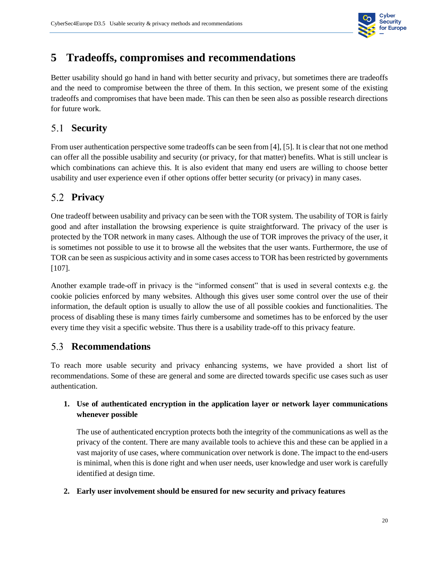

#### <span id="page-25-0"></span>**5 Tradeoffs, compromises and recommendations**

Better usability should go hand in hand with better security and privacy, but sometimes there are tradeoffs and the need to compromise between the three of them. In this section, we present some of the existing tradeoffs and compromises that have been made. This can then be seen also as possible research directions for future work.

#### <span id="page-25-1"></span>**Security**

From user authentication perspective some tradeoffs can be seen from [4], [5]. It is clear that not one method can offer all the possible usability and security (or privacy, for that matter) benefits. What is still unclear is which combinations can achieve this. It is also evident that many end users are willing to choose better usability and user experience even if other options offer better security (or privacy) in many cases.

#### <span id="page-25-2"></span>**Privacy**

One tradeoff between usability and privacy can be seen with the TOR system. The usability of TOR is fairly good and after installation the browsing experience is quite straightforward. The privacy of the user is protected by the TOR network in many cases. Although the use of TOR improves the privacy of the user, it is sometimes not possible to use it to browse all the websites that the user wants. Furthermore, the use of TOR can be seen as suspicious activity and in some cases access to TOR has been restricted by governments [107].

Another example trade-off in privacy is the "informed consent" that is used in several contexts e.g. the cookie policies enforced by many websites. Although this gives user some control over the use of their information, the default option is usually to allow the use of all possible cookies and functionalities. The process of disabling these is many times fairly cumbersome and sometimes has to be enforced by the user every time they visit a specific website. Thus there is a usability trade-off to this privacy feature.

#### <span id="page-25-3"></span>**Recommendations**

To reach more usable security and privacy enhancing systems, we have provided a short list of recommendations. Some of these are general and some are directed towards specific use cases such as user authentication.

#### **1. Use of authenticated encryption in the application layer or network layer communications whenever possible**

The use of authenticated encryption protects both the integrity of the communications as well as the privacy of the content. There are many available tools to achieve this and these can be applied in a vast majority of use cases, where communication over network is done. The impact to the end-users is minimal, when this is done right and when user needs, user knowledge and user work is carefully identified at design time.

#### **2. Early user involvement should be ensured for new security and privacy features**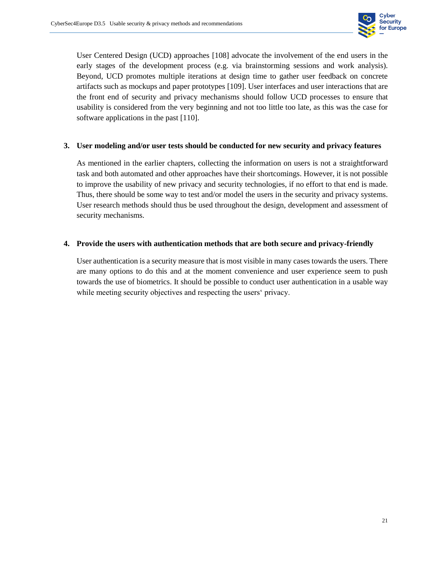

User Centered Design (UCD) approaches [108] advocate the involvement of the end users in the early stages of the development process (e.g. via brainstorming sessions and work analysis). Beyond, UCD promotes multiple iterations at design time to gather user feedback on concrete artifacts such as mockups and paper prototypes [109]. User interfaces and user interactions that are the front end of security and privacy mechanisms should follow UCD processes to ensure that usability is considered from the very beginning and not too little too late, as this was the case for software applications in the past [110].

#### **3. User modeling and/or user tests should be conducted for new security and privacy features**

As mentioned in the earlier chapters, collecting the information on users is not a straightforward task and both automated and other approaches have their shortcomings. However, it is not possible to improve the usability of new privacy and security technologies, if no effort to that end is made. Thus, there should be some way to test and/or model the users in the security and privacy systems. User research methods should thus be used throughout the design, development and assessment of security mechanisms.

#### **4. Provide the users with authentication methods that are both secure and privacy-friendly**

User authentication is a security measure that is most visible in many cases towards the users. There are many options to do this and at the moment convenience and user experience seem to push towards the use of biometrics. It should be possible to conduct user authentication in a usable way while meeting security objectives and respecting the users' privacy.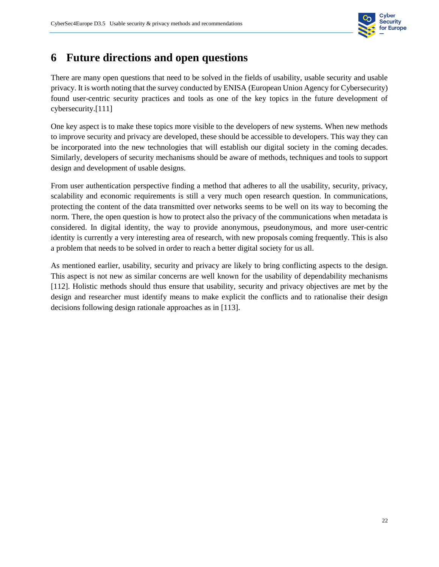

#### <span id="page-27-0"></span>**6 Future directions and open questions**

There are many open questions that need to be solved in the fields of usability, usable security and usable privacy. It is worth noting that the survey conducted by ENISA (European Union Agency for Cybersecurity) found user-centric security practices and tools as one of the key topics in the future development of cybersecurity.[111]

One key aspect is to make these topics more visible to the developers of new systems. When new methods to improve security and privacy are developed, these should be accessible to developers. This way they can be incorporated into the new technologies that will establish our digital society in the coming decades. Similarly, developers of security mechanisms should be aware of methods, techniques and tools to support design and development of usable designs.

From user authentication perspective finding a method that adheres to all the usability, security, privacy, scalability and economic requirements is still a very much open research question. In communications, protecting the content of the data transmitted over networks seems to be well on its way to becoming the norm. There, the open question is how to protect also the privacy of the communications when metadata is considered. In digital identity, the way to provide anonymous, pseudonymous, and more user-centric identity is currently a very interesting area of research, with new proposals coming frequently. This is also a problem that needs to be solved in order to reach a better digital society for us all.

As mentioned earlier, usability, security and privacy are likely to bring conflicting aspects to the design. This aspect is not new as similar concerns are well known for the usability of dependability mechanisms [112]. Holistic methods should thus ensure that usability, security and privacy objectives are met by the design and researcher must identify means to make explicit the conflicts and to rationalise their design decisions following design rationale approaches as in [113].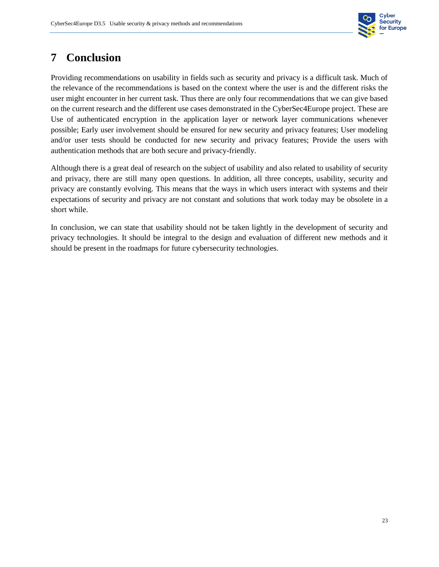

#### <span id="page-28-0"></span>**7 Conclusion**

Providing recommendations on usability in fields such as security and privacy is a difficult task. Much of the relevance of the recommendations is based on the context where the user is and the different risks the user might encounter in her current task. Thus there are only four recommendations that we can give based on the current research and the different use cases demonstrated in the CyberSec4Europe project. These are Use of authenticated encryption in the application layer or network layer communications whenever possible; Early user involvement should be ensured for new security and privacy features; User modeling and/or user tests should be conducted for new security and privacy features; Provide the users with authentication methods that are both secure and privacy-friendly.

Although there is a great deal of research on the subject of usability and also related to usability of security and privacy, there are still many open questions. In addition, all three concepts, usability, security and privacy are constantly evolving. This means that the ways in which users interact with systems and their expectations of security and privacy are not constant and solutions that work today may be obsolete in a short while.

In conclusion, we can state that usability should not be taken lightly in the development of security and privacy technologies. It should be integral to the design and evaluation of different new methods and it should be present in the roadmaps for future cybersecurity technologies.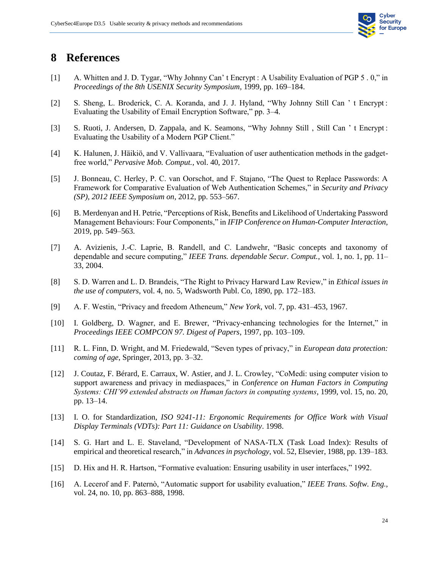

#### <span id="page-29-0"></span>**8 References**

- [1] A. Whitten and J. D. Tygar, "Why Johnny Can' t Encrypt : A Usability Evaluation of PGP 5 . 0," in *Proceedings of the 8th USENIX Security Symposium*, 1999, pp. 169–184.
- [2] S. Sheng, L. Broderick, C. A. Koranda, and J. J. Hyland, "Why Johnny Still Can ' t Encrypt: Evaluating the Usability of Email Encryption Software," pp. 3–4.
- [3] S. Ruoti, J. Andersen, D. Zappala, and K. Seamons, "Why Johnny Still, Still Can 't Encrypt: Evaluating the Usability of a Modern PGP Client."
- [4] K. Halunen, J. Häikiö, and V. Vallivaara, "Evaluation of user authentication methods in the gadgetfree world," *Pervasive Mob. Comput.*, vol. 40, 2017.
- [5] J. Bonneau, C. Herley, P. C. van Oorschot, and F. Stajano, "The Quest to Replace Passwords: A Framework for Comparative Evaluation of Web Authentication Schemes," in *Security and Privacy (SP), 2012 IEEE Symposium on*, 2012, pp. 553–567.
- [6] B. Merdenyan and H. Petrie, "Perceptions of Risk, Benefits and Likelihood of Undertaking Password Management Behaviours: Four Components," in *IFIP Conference on Human-Computer Interaction*, 2019, pp. 549–563.
- [7] A. Avizienis, J.-C. Laprie, B. Randell, and C. Landwehr, "Basic concepts and taxonomy of dependable and secure computing," *IEEE Trans. dependable Secur. Comput.*, vol. 1, no. 1, pp. 11– 33, 2004.
- [8] S. D. Warren and L. D. Brandeis, "The Right to Privacy Harward Law Review," in *Ethical issues in the use of computers*, vol. 4, no. 5, Wadsworth Publ. Co, 1890, pp. 172–183.
- [9] A. F. Westin, "Privacy and freedom Atheneum," *New York*, vol. 7, pp. 431–453, 1967.
- [10] I. Goldberg, D. Wagner, and E. Brewer, "Privacy-enhancing technologies for the Internet," in *Proceedings IEEE COMPCON 97. Digest of Papers*, 1997, pp. 103–109.
- [11] R. L. Finn, D. Wright, and M. Friedewald, "Seven types of privacy," in *European data protection: coming of age*, Springer, 2013, pp. 3–32.
- [12] J. Coutaz, F. Bérard, E. Carraux, W. Astier, and J. L. Crowley, "CoMedi: using computer vision to support awareness and privacy in mediaspaces," in *Conference on Human Factors in Computing Systems: CHI'99 extended abstracts on Human factors in computing systems*, 1999, vol. 15, no. 20, pp. 13–14.
- [13] I. O. for Standardization, *ISO 9241-11: Ergonomic Requirements for Office Work with Visual Display Terminals (VDTs): Part 11: Guidance on Usability*. 1998.
- [14] S. G. Hart and L. E. Staveland, "Development of NASA-TLX (Task Load Index): Results of empirical and theoretical research," in *Advances in psychology*, vol. 52, Elsevier, 1988, pp. 139–183.
- [15] D. Hix and H. R. Hartson, "Formative evaluation: Ensuring usability in user interfaces," 1992.
- [16] A. Lecerof and F. Paternò, "Automatic support for usability evaluation," *IEEE Trans. Softw. Eng.*, vol. 24, no. 10, pp. 863–888, 1998.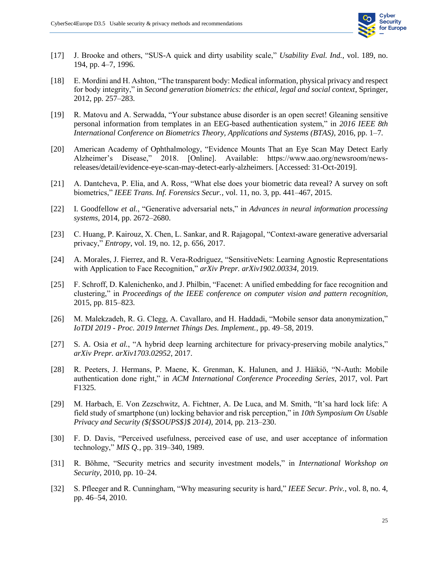

- [17] J. Brooke and others, "SUS-A quick and dirty usability scale," *Usability Eval. Ind.*, vol. 189, no. 194, pp. 4–7, 1996.
- [18] E. Mordini and H. Ashton, "The transparent body: Medical information, physical privacy and respect for body integrity," in *Second generation biometrics: the ethical, legal and social context*, Springer, 2012, pp. 257–283.
- [19] R. Matovu and A. Serwadda, "Your substance abuse disorder is an open secret! Gleaning sensitive personal information from templates in an EEG-based authentication system," in *2016 IEEE 8th International Conference on Biometrics Theory, Applications and Systems (BTAS)*, 2016, pp. 1–7.
- [20] American Academy of Ophthalmology, "Evidence Mounts That an Eye Scan May Detect Early Alzheimer's Disease," 2018. [Online]. Available: https://www.aao.org/newsroom/newsreleases/detail/evidence-eye-scan-may-detect-early-alzheimers. [Accessed: 31-Oct-2019].
- [21] A. Dantcheva, P. Elia, and A. Ross, "What else does your biometric data reveal? A survey on soft biometrics," *IEEE Trans. Inf. Forensics Secur.*, vol. 11, no. 3, pp. 441–467, 2015.
- [22] I. Goodfellow *et al.*, "Generative adversarial nets," in *Advances in neural information processing systems*, 2014, pp. 2672–2680.
- [23] C. Huang, P. Kairouz, X. Chen, L. Sankar, and R. Rajagopal, "Context-aware generative adversarial privacy," *Entropy*, vol. 19, no. 12, p. 656, 2017.
- [24] A. Morales, J. Fierrez, and R. Vera-Rodriguez, "SensitiveNets: Learning Agnostic Representations with Application to Face Recognition," *arXiv Prepr. arXiv1902.00334*, 2019.
- [25] F. Schroff, D. Kalenichenko, and J. Philbin, "Facenet: A unified embedding for face recognition and clustering," in *Proceedings of the IEEE conference on computer vision and pattern recognition*, 2015, pp. 815–823.
- [26] M. Malekzadeh, R. G. Clegg, A. Cavallaro, and H. Haddadi, "Mobile sensor data anonymization," *IoTDI 2019 - Proc. 2019 Internet Things Des. Implement.*, pp. 49–58, 2019.
- [27] S. A. Osia *et al.*, "A hybrid deep learning architecture for privacy-preserving mobile analytics," *arXiv Prepr. arXiv1703.02952*, 2017.
- [28] R. Peeters, J. Hermans, P. Maene, K. Grenman, K. Halunen, and J. Häikiö, "N-Auth: Mobile authentication done right," in *ACM International Conference Proceeding Series*, 2017, vol. Part F1325.
- [29] M. Harbach, E. Von Zezschwitz, A. Fichtner, A. De Luca, and M. Smith, "It'sa hard lock life: A field study of smartphone (un) locking behavior and risk perception," in *10th Symposium On Usable Privacy and Security (\${\$SOUPS\$}\$ 2014)*, 2014, pp. 213–230.
- [30] F. D. Davis, "Perceived usefulness, perceived ease of use, and user acceptance of information technology," *MIS Q.*, pp. 319–340, 1989.
- [31] R. Böhme, "Security metrics and security investment models," in *International Workshop on Security*, 2010, pp. 10–24.
- [32] S. Pfleeger and R. Cunningham, "Why measuring security is hard," *IEEE Secur. Priv.*, vol. 8, no. 4, pp. 46–54, 2010.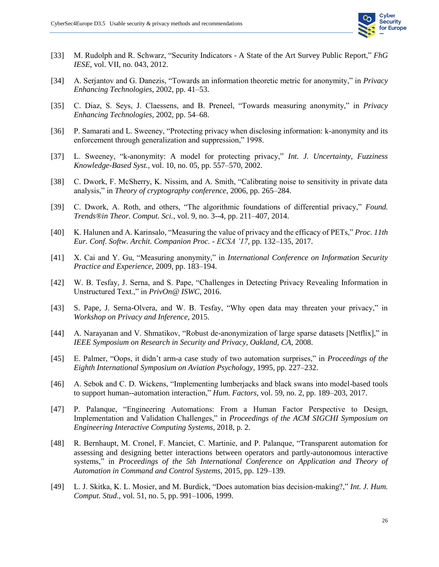

- [33] M. Rudolph and R. Schwarz, "Security Indicators A State of the Art Survey Public Report," *FhG IESE*, vol. VII, no. 043, 2012.
- [34] A. Serjantov and G. Danezis, "Towards an information theoretic metric for anonymity," in *Privacy Enhancing Technologies*, 2002, pp. 41–53.
- [35] C. Diaz, S. Seys, J. Claessens, and B. Preneel, "Towards measuring anonymity," in *Privacy Enhancing Technologies*, 2002, pp. 54–68.
- [36] P. Samarati and L. Sweeney, "Protecting privacy when disclosing information: k-anonymity and its enforcement through generalization and suppression," 1998.
- [37] L. Sweeney, "k-anonymity: A model for protecting privacy," *Int. J. Uncertainty, Fuzziness Knowledge-Based Syst.*, vol. 10, no. 05, pp. 557–570, 2002.
- [38] C. Dwork, F. McSherry, K. Nissim, and A. Smith, "Calibrating noise to sensitivity in private data analysis," in *Theory of cryptography conference*, 2006, pp. 265–284.
- [39] C. Dwork, A. Roth, and others, "The algorithmic foundations of differential privacy," *Found. Trends®in Theor. Comput. Sci.*, vol. 9, no. 3--4, pp. 211–407, 2014.
- [40] K. Halunen and A. Karinsalo, "Measuring the value of privacy and the efficacy of PETs," *Proc. 11th Eur. Conf. Softw. Archit. Companion Proc. - ECSA '17*, pp. 132–135, 2017.
- [41] X. Cai and Y. Gu, "Measuring anonymity," in *International Conference on Information Security Practice and Experience*, 2009, pp. 183–194.
- [42] W. B. Tesfay, J. Serna, and S. Pape, "Challenges in Detecting Privacy Revealing Information in Unstructured Text.," in *PrivOn@ ISWC*, 2016.
- [43] S. Pape, J. Serna-Olvera, and W. B. Tesfay, "Why open data may threaten your privacy," in *Workshop on Privacy and Inference*, 2015.
- [44] A. Narayanan and V. Shmatikov, "Robust de-anonymization of large sparse datasets [Netflix]," in *IEEE Symposium on Research in Security and Privacy, Oakland, CA*, 2008.
- [45] E. Palmer, "Oops, it didn't arm-a case study of two automation surprises," in *Proceedings of the Eighth International Symposium on Aviation Psychology*, 1995, pp. 227–232.
- [46] A. Sebok and C. D. Wickens, "Implementing lumberjacks and black swans into model-based tools to support human--automation interaction," *Hum. Factors*, vol. 59, no. 2, pp. 189–203, 2017.
- [47] P. Palanque, "Engineering Automations: From a Human Factor Perspective to Design, Implementation and Validation Challenges," in *Proceedings of the ACM SIGCHI Symposium on Engineering Interactive Computing Systems*, 2018, p. 2.
- [48] R. Bernhaupt, M. Cronel, F. Manciet, C. Martinie, and P. Palanque, "Transparent automation for assessing and designing better interactions between operators and partly-autonomous interactive systems," in *Proceedings of the 5th International Conference on Application and Theory of Automation in Command and Control Systems*, 2015, pp. 129–139.
- [49] L. J. Skitka, K. L. Mosier, and M. Burdick, "Does automation bias decision-making?," *Int. J. Hum. Comput. Stud.*, vol. 51, no. 5, pp. 991–1006, 1999.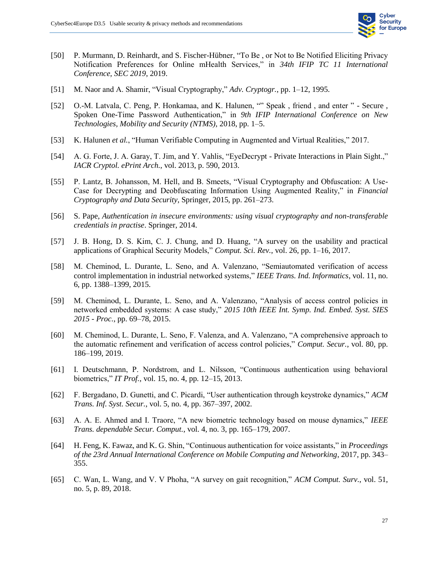

- [50] P. Murmann, D. Reinhardt, and S. Fischer-Hübner, "To Be , or Not to Be Notified Eliciting Privacy Notification Preferences for Online mHealth Services," in *34th IFIP TC 11 International Conference, SEC 2019*, 2019.
- [51] M. Naor and A. Shamir, "Visual Cryptography," *Adv. Cryptogr.*, pp. 1–12, 1995.
- [52] O.-M. Latvala, C. Peng, P. Honkamaa, and K. Halunen, "" Speak, friend, and enter " Secure, Spoken One-Time Password Authentication," in *9th IFIP International Conference on New Technologies, Mobility and Security (NTMS)*, 2018, pp. 1–5.
- [53] K. Halunen *et al.*, "Human Verifiable Computing in Augmented and Virtual Realities," 2017.
- [54] A. G. Forte, J. A. Garay, T. Jim, and Y. Vahlis, "EyeDecrypt Private Interactions in Plain Sight.," *IACR Cryptol. ePrint Arch.*, vol. 2013, p. 590, 2013.
- [55] P. Lantz, B. Johansson, M. Hell, and B. Smeets, "Visual Cryptography and Obfuscation: A Use-Case for Decrypting and Deobfuscating Information Using Augmented Reality," in *Financial Cryptography and Data Security*, Springer, 2015, pp. 261–273.
- [56] S. Pape, *Authentication in insecure environments: using visual cryptography and non-transferable credentials in practise*. Springer, 2014.
- [57] J. B. Hong, D. S. Kim, C. J. Chung, and D. Huang, "A survey on the usability and practical applications of Graphical Security Models," *Comput. Sci. Rev.*, vol. 26, pp. 1–16, 2017.
- [58] M. Cheminod, L. Durante, L. Seno, and A. Valenzano, "Semiautomated verification of access control implementation in industrial networked systems," *IEEE Trans. Ind. Informatics*, vol. 11, no. 6, pp. 1388–1399, 2015.
- [59] M. Cheminod, L. Durante, L. Seno, and A. Valenzano, "Analysis of access control policies in networked embedded systems: A case study," *2015 10th IEEE Int. Symp. Ind. Embed. Syst. SIES 2015 - Proc.*, pp. 69–78, 2015.
- [60] M. Cheminod, L. Durante, L. Seno, F. Valenza, and A. Valenzano, "A comprehensive approach to the automatic refinement and verification of access control policies," *Comput. Secur.*, vol. 80, pp. 186–199, 2019.
- [61] I. Deutschmann, P. Nordstrom, and L. Nilsson, "Continuous authentication using behavioral biometrics," *IT Prof.*, vol. 15, no. 4, pp. 12–15, 2013.
- [62] F. Bergadano, D. Gunetti, and C. Picardi, "User authentication through keystroke dynamics," *ACM Trans. Inf. Syst. Secur.*, vol. 5, no. 4, pp. 367–397, 2002.
- [63] A. A. E. Ahmed and I. Traore, "A new biometric technology based on mouse dynamics," *IEEE Trans. dependable Secur. Comput.*, vol. 4, no. 3, pp. 165–179, 2007.
- [64] H. Feng, K. Fawaz, and K. G. Shin, "Continuous authentication for voice assistants," in *Proceedings of the 23rd Annual International Conference on Mobile Computing and Networking*, 2017, pp. 343– 355.
- [65] C. Wan, L. Wang, and V. V Phoha, "A survey on gait recognition," *ACM Comput. Surv.*, vol. 51, no. 5, p. 89, 2018.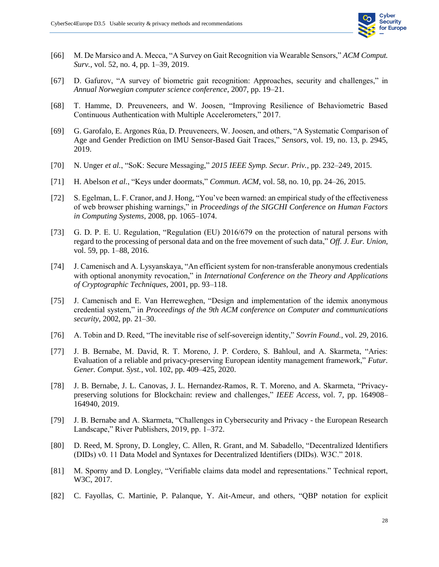

- [66] M. De Marsico and A. Mecca, "A Survey on Gait Recognition via Wearable Sensors," *ACM Comput. Surv.*, vol. 52, no. 4, pp. 1–39, 2019.
- [67] D. Gafurov, "A survey of biometric gait recognition: Approaches, security and challenges," in *Annual Norwegian computer science conference*, 2007, pp. 19–21.
- [68] T. Hamme, D. Preuveneers, and W. Joosen, "Improving Resilience of Behaviometric Based Continuous Authentication with Multiple Accelerometers," 2017.
- [69] G. Garofalo, E. Argones Rúa, D. Preuveneers, W. Joosen, and others, "A Systematic Comparison of Age and Gender Prediction on IMU Sensor-Based Gait Traces," *Sensors*, vol. 19, no. 13, p. 2945, 2019.
- [70] N. Unger *et al.*, "SoK: Secure Messaging," *2015 IEEE Symp. Secur. Priv.*, pp. 232–249, 2015.
- [71] H. Abelson *et al.*, "Keys under doormats," *Commun. ACM*, vol. 58, no. 10, pp. 24–26, 2015.
- [72] S. Egelman, L. F. Cranor, and J. Hong, "You've been warned: an empirical study of the effectiveness of web browser phishing warnings," in *Proceedings of the SIGCHI Conference on Human Factors in Computing Systems*, 2008, pp. 1065–1074.
- [73] G. D. P. E. U. Regulation, "Regulation (EU) 2016/679 on the protection of natural persons with regard to the processing of personal data and on the free movement of such data," *Off. J. Eur. Union*, vol. 59, pp. 1–88, 2016.
- [74] J. Camenisch and A. Lysyanskaya, "An efficient system for non-transferable anonymous credentials with optional anonymity revocation," in *International Conference on the Theory and Applications of Cryptographic Techniques*, 2001, pp. 93–118.
- [75] J. Camenisch and E. Van Herreweghen, "Design and implementation of the idemix anonymous credential system," in *Proceedings of the 9th ACM conference on Computer and communications security*, 2002, pp. 21–30.
- [76] A. Tobin and D. Reed, "The inevitable rise of self-sovereign identity," *Sovrin Found.*, vol. 29, 2016.
- [77] J. B. Bernabe, M. David, R. T. Moreno, J. P. Cordero, S. Bahloul, and A. Skarmeta, "Aries: Evaluation of a reliable and privacy-preserving European identity management framework," *Futur. Gener. Comput. Syst.*, vol. 102, pp. 409–425, 2020.
- [78] J. B. Bernabe, J. L. Canovas, J. L. Hernandez-Ramos, R. T. Moreno, and A. Skarmeta, "Privacypreserving solutions for Blockchain: review and challenges," *IEEE Access*, vol. 7, pp. 164908– 164940, 2019.
- [79] J. B. Bernabe and A. Skarmeta, "Challenges in Cybersecurity and Privacy the European Research Landscape," River Publishers, 2019, pp. 1–372.
- [80] D. Reed, M. Sprony, D. Longley, C. Allen, R. Grant, and M. Sabadello, "Decentralized Identifiers (DIDs) v0. 11 Data Model and Syntaxes for Decentralized Identifiers (DIDs). W3C." 2018.
- [81] M. Sporny and D. Longley, "Verifiable claims data model and representations." Technical report, W3C, 2017.
- [82] C. Fayollas, C. Martinie, P. Palanque, Y. Ait-Ameur, and others, "QBP notation for explicit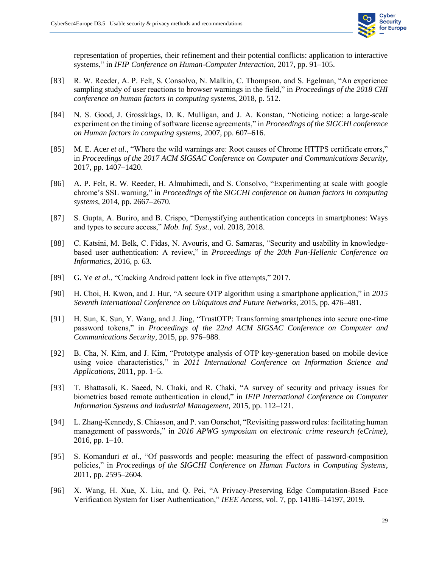

representation of properties, their refinement and their potential conflicts: application to interactive systems," in *IFIP Conference on Human-Computer Interaction*, 2017, pp. 91–105.

- [83] R. W. Reeder, A. P. Felt, S. Consolvo, N. Malkin, C. Thompson, and S. Egelman, "An experience sampling study of user reactions to browser warnings in the field," in *Proceedings of the 2018 CHI conference on human factors in computing systems*, 2018, p. 512.
- [84] N. S. Good, J. Grossklags, D. K. Mulligan, and J. A. Konstan, "Noticing notice: a large-scale experiment on the timing of software license agreements," in *Proceedings of the SIGCHI conference on Human factors in computing systems*, 2007, pp. 607–616.
- [85] M. E. Acer *et al.*, "Where the wild warnings are: Root causes of Chrome HTTPS certificate errors," in *Proceedings of the 2017 ACM SIGSAC Conference on Computer and Communications Security*, 2017, pp. 1407–1420.
- [86] A. P. Felt, R. W. Reeder, H. Almuhimedi, and S. Consolvo, "Experimenting at scale with google chrome's SSL warning," in *Proceedings of the SIGCHI conference on human factors in computing systems*, 2014, pp. 2667–2670.
- [87] S. Gupta, A. Buriro, and B. Crispo, "Demystifying authentication concepts in smartphones: Ways and types to secure access," *Mob. Inf. Syst.*, vol. 2018, 2018.
- [88] C. Katsini, M. Belk, C. Fidas, N. Avouris, and G. Samaras, "Security and usability in knowledgebased user authentication: A review," in *Proceedings of the 20th Pan-Hellenic Conference on Informatics*, 2016, p. 63.
- [89] G. Ye *et al.*, "Cracking Android pattern lock in five attempts," 2017.
- [90] H. Choi, H. Kwon, and J. Hur, "A secure OTP algorithm using a smartphone application," in *2015 Seventh International Conference on Ubiquitous and Future Networks*, 2015, pp. 476–481.
- [91] H. Sun, K. Sun, Y. Wang, and J. Jing, "TrustOTP: Transforming smartphones into secure one-time password tokens," in *Proceedings of the 22nd ACM SIGSAC Conference on Computer and Communications Security*, 2015, pp. 976–988.
- [92] B. Cha, N. Kim, and J. Kim, "Prototype analysis of OTP key-generation based on mobile device using voice characteristics," in *2011 International Conference on Information Science and Applications*, 2011, pp. 1–5.
- [93] T. Bhattasali, K. Saeed, N. Chaki, and R. Chaki, "A survey of security and privacy issues for biometrics based remote authentication in cloud," in *IFIP International Conference on Computer Information Systems and Industrial Management*, 2015, pp. 112–121.
- [94] L. Zhang-Kennedy, S. Chiasson, and P. van Oorschot, "Revisiting password rules: facilitating human management of passwords," in *2016 APWG symposium on electronic crime research (eCrime)*, 2016, pp. 1–10.
- [95] S. Komanduri *et al.*, "Of passwords and people: measuring the effect of password-composition policies," in *Proceedings of the SIGCHI Conference on Human Factors in Computing Systems*, 2011, pp. 2595–2604.
- [96] X. Wang, H. Xue, X. Liu, and Q. Pei, "A Privacy-Preserving Edge Computation-Based Face Verification System for User Authentication," *IEEE Access*, vol. 7, pp. 14186–14197, 2019.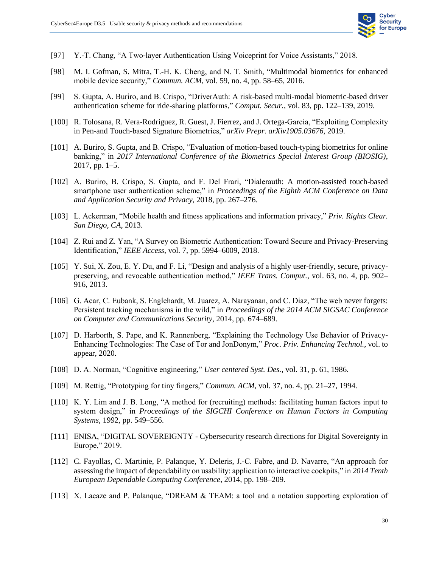

- [97] Y.-T. Chang, "A Two-layer Authentication Using Voiceprint for Voice Assistants," 2018.
- [98] M. I. Gofman, S. Mitra, T.-H. K. Cheng, and N. T. Smith, "Multimodal biometrics for enhanced mobile device security," *Commun. ACM*, vol. 59, no. 4, pp. 58–65, 2016.
- [99] S. Gupta, A. Buriro, and B. Crispo, "DriverAuth: A risk-based multi-modal biometric-based driver authentication scheme for ride-sharing platforms," *Comput. Secur.*, vol. 83, pp. 122–139, 2019.
- [100] R. Tolosana, R. Vera-Rodriguez, R. Guest, J. Fierrez, and J. Ortega-Garcia, "Exploiting Complexity in Pen-and Touch-based Signature Biometrics," *arXiv Prepr. arXiv1905.03676*, 2019.
- [101] A. Buriro, S. Gupta, and B. Crispo, "Evaluation of motion-based touch-typing biometrics for online banking," in *2017 International Conference of the Biometrics Special Interest Group (BIOSIG)*, 2017, pp. 1–5.
- [102] A. Buriro, B. Crispo, S. Gupta, and F. Del Frari, "Dialerauth: A motion-assisted touch-based smartphone user authentication scheme," in *Proceedings of the Eighth ACM Conference on Data and Application Security and Privacy*, 2018, pp. 267–276.
- [103] L. Ackerman, "Mobile health and fitness applications and information privacy," *Priv. Rights Clear. San Diego, CA*, 2013.
- [104] Z. Rui and Z. Yan, "A Survey on Biometric Authentication: Toward Secure and Privacy-Preserving Identification," *IEEE Access*, vol. 7, pp. 5994–6009, 2018.
- [105] Y. Sui, X. Zou, E. Y. Du, and F. Li, "Design and analysis of a highly user-friendly, secure, privacypreserving, and revocable authentication method," *IEEE Trans. Comput.*, vol. 63, no. 4, pp. 902– 916, 2013.
- [106] G. Acar, C. Eubank, S. Englehardt, M. Juarez, A. Narayanan, and C. Diaz, "The web never forgets: Persistent tracking mechanisms in the wild," in *Proceedings of the 2014 ACM SIGSAC Conference on Computer and Communications Security*, 2014, pp. 674–689.
- [107] D. Harborth, S. Pape, and K. Rannenberg, "Explaining the Technology Use Behavior of Privacy-Enhancing Technologies: The Case of Tor and JonDonym," *Proc. Priv. Enhancing Technol.*, vol. to appear, 2020.
- [108] D. A. Norman, "Cognitive engineering," *User centered Syst. Des.*, vol. 31, p. 61, 1986.
- [109] M. Rettig, "Prototyping for tiny fingers," *Commun. ACM*, vol. 37, no. 4, pp. 21–27, 1994.
- [110] K. Y. Lim and J. B. Long, "A method for (recruiting) methods: facilitating human factors input to system design," in *Proceedings of the SIGCHI Conference on Human Factors in Computing Systems*, 1992, pp. 549–556.
- [111] ENISA, "DIGITAL SOVEREIGNTY Cybersecurity research directions for Digital Sovereignty in Europe," 2019.
- [112] C. Fayollas, C. Martinie, P. Palanque, Y. Deleris, J.-C. Fabre, and D. Navarre, "An approach for assessing the impact of dependability on usability: application to interactive cockpits," in *2014 Tenth European Dependable Computing Conference*, 2014, pp. 198–209.
- [113] X. Lacaze and P. Palanque, "DREAM & TEAM: a tool and a notation supporting exploration of